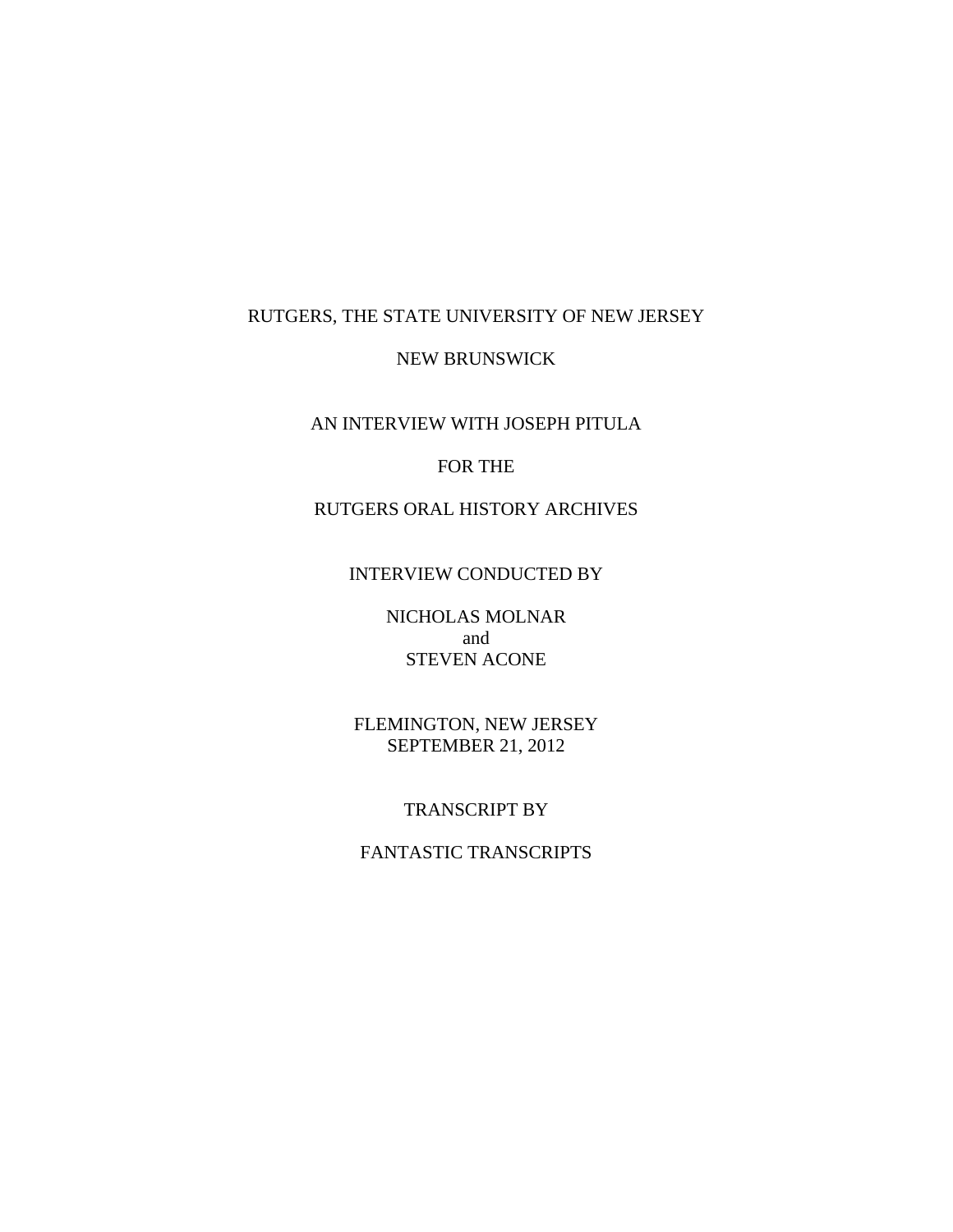### RUTGERS, THE STATE UNIVERSITY OF NEW JERSEY

#### NEW BRUNSWICK

## AN INTERVIEW WITH JOSEPH PITULA

# FOR THE

# RUTGERS ORAL HISTORY ARCHIVES

## INTERVIEW CONDUCTED BY

# NICHOLAS MOLNAR and STEVEN ACONE

# FLEMINGTON, NEW JERSEY SEPTEMBER 21, 2012

## TRANSCRIPT BY

# FANTASTIC TRANSCRIPTS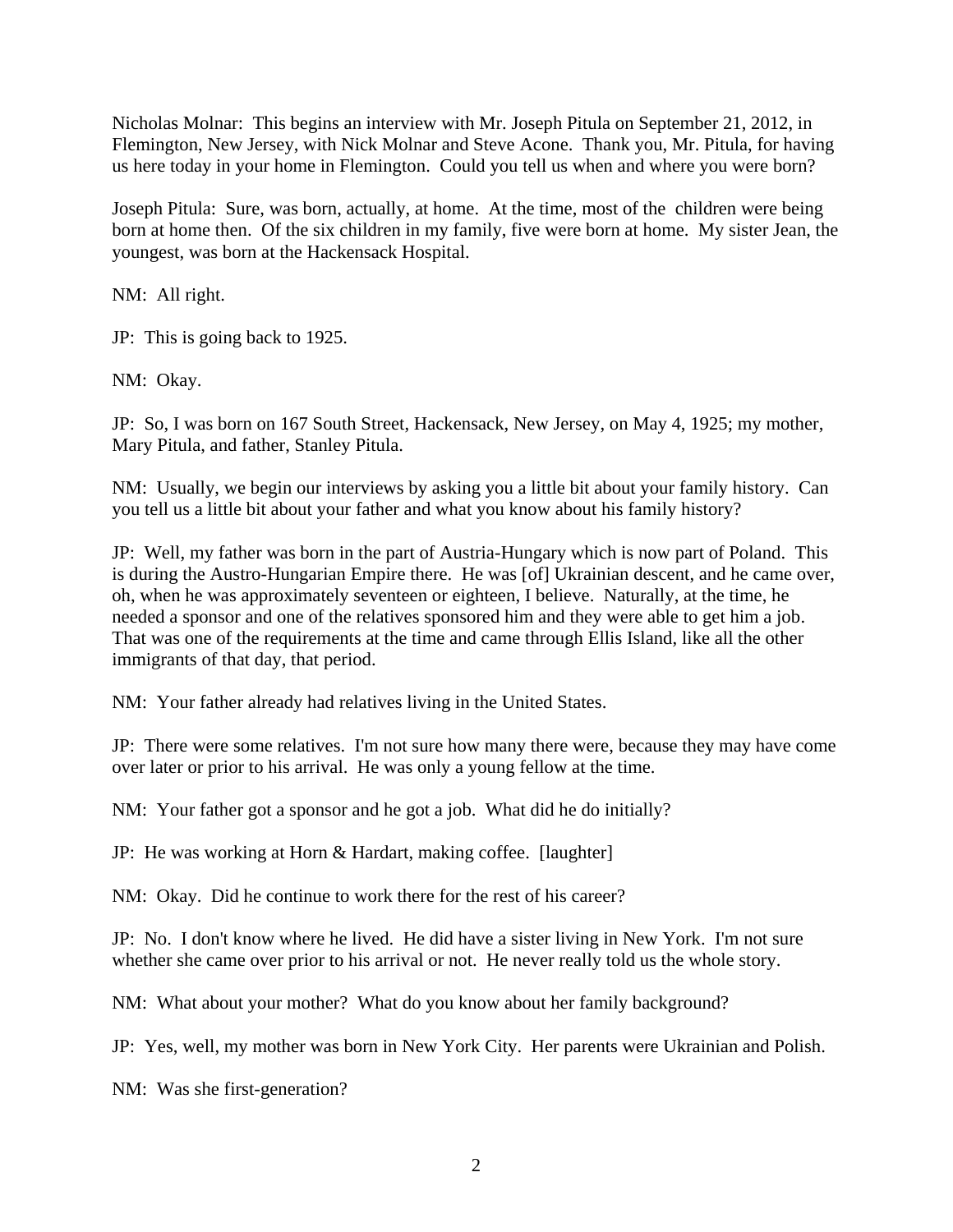Nicholas Molnar: This begins an interview with Mr. Joseph Pitula on September 21, 2012, in Flemington, New Jersey, with Nick Molnar and Steve Acone. Thank you, Mr. Pitula, for having us here today in your home in Flemington. Could you tell us when and where you were born?

Joseph Pitula: Sure, was born, actually, at home. At the time, most of the children were being born at home then. Of the six children in my family, five were born at home. My sister Jean, the youngest, was born at the Hackensack Hospital.

NM: All right.

JP: This is going back to 1925.

NM: Okay.

JP: So, I was born on 167 South Street, Hackensack, New Jersey, on May 4, 1925; my mother, Mary Pitula, and father, Stanley Pitula.

NM: Usually, we begin our interviews by asking you a little bit about your family history. Can you tell us a little bit about your father and what you know about his family history?

JP: Well, my father was born in the part of Austria-Hungary which is now part of Poland. This is during the Austro-Hungarian Empire there. He was [of] Ukrainian descent, and he came over, oh, when he was approximately seventeen or eighteen, I believe. Naturally, at the time, he needed a sponsor and one of the relatives sponsored him and they were able to get him a job. That was one of the requirements at the time and came through Ellis Island, like all the other immigrants of that day, that period.

NM: Your father already had relatives living in the United States.

JP: There were some relatives. I'm not sure how many there were, because they may have come over later or prior to his arrival. He was only a young fellow at the time.

NM: Your father got a sponsor and he got a job. What did he do initially?

JP: He was working at Horn & Hardart, making coffee. [laughter]

NM: Okay. Did he continue to work there for the rest of his career?

JP: No. I don't know where he lived. He did have a sister living in New York. I'm not sure whether she came over prior to his arrival or not. He never really told us the whole story.

NM: What about your mother? What do you know about her family background?

JP: Yes, well, my mother was born in New York City. Her parents were Ukrainian and Polish.

NM: Was she first-generation?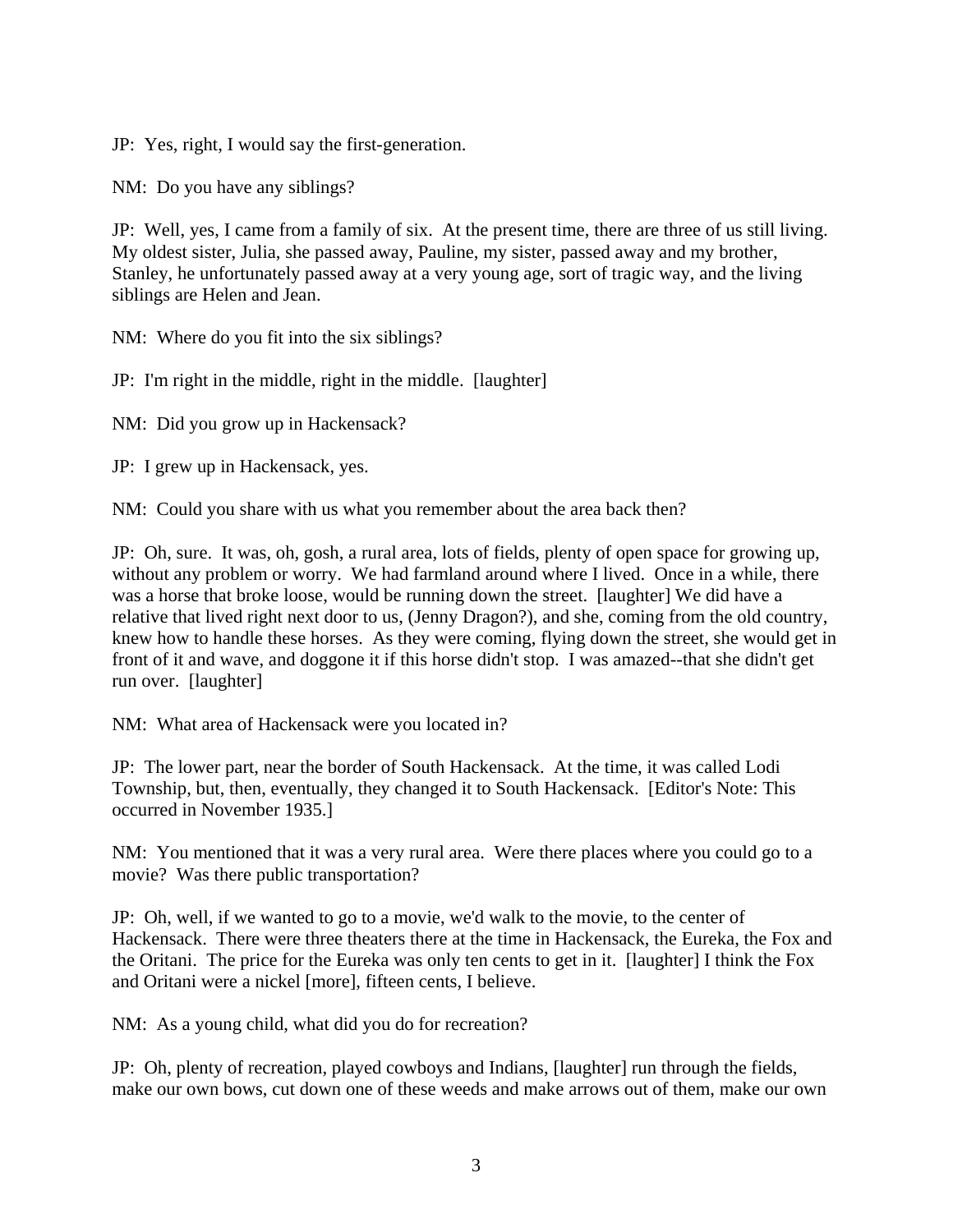JP: Yes, right, I would say the first-generation.

NM: Do you have any siblings?

JP: Well, yes, I came from a family of six. At the present time, there are three of us still living. My oldest sister, Julia, she passed away, Pauline, my sister, passed away and my brother, Stanley, he unfortunately passed away at a very young age, sort of tragic way, and the living siblings are Helen and Jean.

NM: Where do you fit into the six siblings?

JP: I'm right in the middle, right in the middle. [laughter]

NM: Did you grow up in Hackensack?

JP: I grew up in Hackensack, yes.

NM: Could you share with us what you remember about the area back then?

JP: Oh, sure. It was, oh, gosh, a rural area, lots of fields, plenty of open space for growing up, without any problem or worry. We had farmland around where I lived. Once in a while, there was a horse that broke loose, would be running down the street. [laughter] We did have a relative that lived right next door to us, (Jenny Dragon?), and she, coming from the old country, knew how to handle these horses. As they were coming, flying down the street, she would get in front of it and wave, and doggone it if this horse didn't stop. I was amazed--that she didn't get run over. [laughter]

NM: What area of Hackensack were you located in?

JP: The lower part, near the border of South Hackensack. At the time, it was called Lodi Township, but, then, eventually, they changed it to South Hackensack. [Editor's Note: This occurred in November 1935.]

NM: You mentioned that it was a very rural area. Were there places where you could go to a movie? Was there public transportation?

JP: Oh, well, if we wanted to go to a movie, we'd walk to the movie, to the center of Hackensack. There were three theaters there at the time in Hackensack, the Eureka, the Fox and the Oritani. The price for the Eureka was only ten cents to get in it. [laughter] I think the Fox and Oritani were a nickel [more], fifteen cents, I believe.

NM: As a young child, what did you do for recreation?

JP: Oh, plenty of recreation, played cowboys and Indians, [laughter] run through the fields, make our own bows, cut down one of these weeds and make arrows out of them, make our own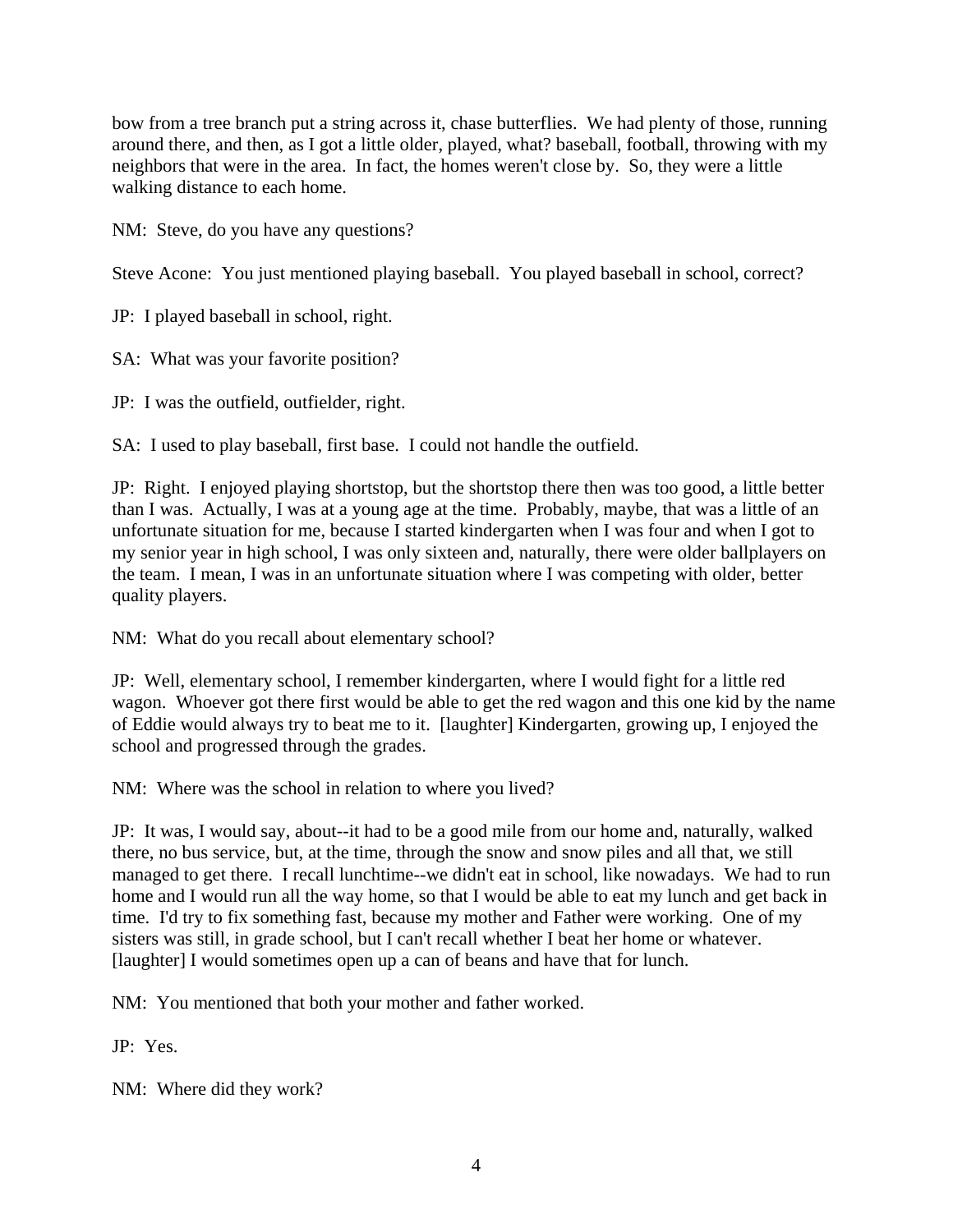bow from a tree branch put a string across it, chase butterflies. We had plenty of those, running around there, and then, as I got a little older, played, what? baseball, football, throwing with my neighbors that were in the area. In fact, the homes weren't close by. So, they were a little walking distance to each home.

NM: Steve, do you have any questions?

Steve Acone: You just mentioned playing baseball. You played baseball in school, correct?

JP: I played baseball in school, right.

SA: What was your favorite position?

JP: I was the outfield, outfielder, right.

SA: I used to play baseball, first base. I could not handle the outfield.

JP: Right. I enjoyed playing shortstop, but the shortstop there then was too good, a little better than I was. Actually, I was at a young age at the time. Probably, maybe, that was a little of an unfortunate situation for me, because I started kindergarten when I was four and when I got to my senior year in high school, I was only sixteen and, naturally, there were older ballplayers on the team. I mean, I was in an unfortunate situation where I was competing with older, better quality players.

NM: What do you recall about elementary school?

JP: Well, elementary school, I remember kindergarten, where I would fight for a little red wagon. Whoever got there first would be able to get the red wagon and this one kid by the name of Eddie would always try to beat me to it. [laughter] Kindergarten, growing up, I enjoyed the school and progressed through the grades.

NM: Where was the school in relation to where you lived?

JP: It was, I would say, about--it had to be a good mile from our home and, naturally, walked there, no bus service, but, at the time, through the snow and snow piles and all that, we still managed to get there. I recall lunchtime--we didn't eat in school, like nowadays. We had to run home and I would run all the way home, so that I would be able to eat my lunch and get back in time. I'd try to fix something fast, because my mother and Father were working. One of my sisters was still, in grade school, but I can't recall whether I beat her home or whatever. [laughter] I would sometimes open up a can of beans and have that for lunch.

NM: You mentioned that both your mother and father worked.

JP: Yes.

NM: Where did they work?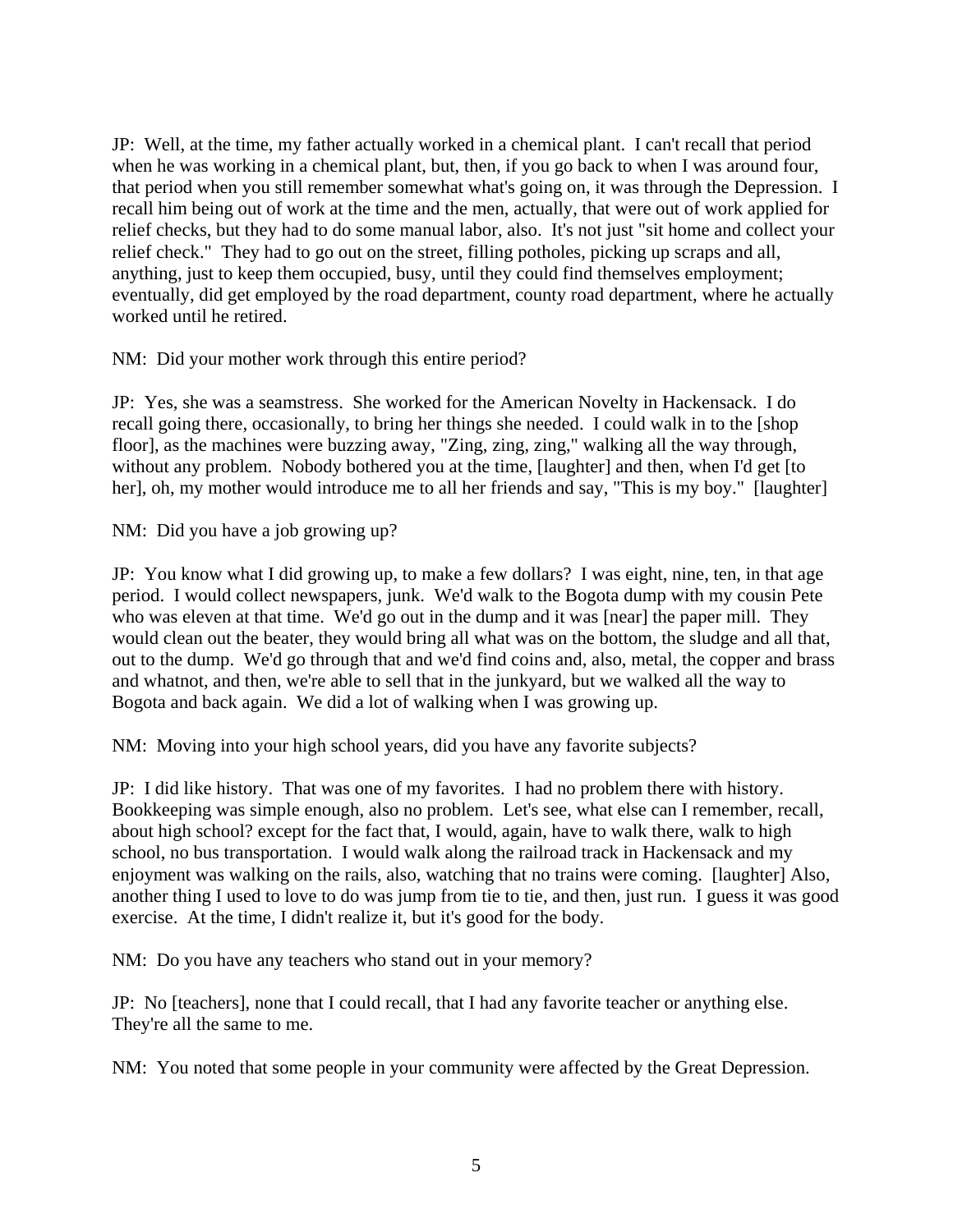JP: Well, at the time, my father actually worked in a chemical plant. I can't recall that period when he was working in a chemical plant, but, then, if you go back to when I was around four, that period when you still remember somewhat what's going on, it was through the Depression. I recall him being out of work at the time and the men, actually, that were out of work applied for relief checks, but they had to do some manual labor, also. It's not just "sit home and collect your relief check." They had to go out on the street, filling potholes, picking up scraps and all, anything, just to keep them occupied, busy, until they could find themselves employment; eventually, did get employed by the road department, county road department, where he actually worked until he retired.

NM: Did your mother work through this entire period?

JP: Yes, she was a seamstress. She worked for the American Novelty in Hackensack. I do recall going there, occasionally, to bring her things she needed. I could walk in to the [shop floor], as the machines were buzzing away, "Zing, zing, zing," walking all the way through, without any problem. Nobody bothered you at the time, [laughter] and then, when I'd get [to her], oh, my mother would introduce me to all her friends and say, "This is my boy." [laughter]

NM: Did you have a job growing up?

JP: You know what I did growing up, to make a few dollars? I was eight, nine, ten, in that age period. I would collect newspapers, junk. We'd walk to the Bogota dump with my cousin Pete who was eleven at that time. We'd go out in the dump and it was [near] the paper mill. They would clean out the beater, they would bring all what was on the bottom, the sludge and all that, out to the dump. We'd go through that and we'd find coins and, also, metal, the copper and brass and whatnot, and then, we're able to sell that in the junkyard, but we walked all the way to Bogota and back again. We did a lot of walking when I was growing up.

NM: Moving into your high school years, did you have any favorite subjects?

JP: I did like history. That was one of my favorites. I had no problem there with history. Bookkeeping was simple enough, also no problem. Let's see, what else can I remember, recall, about high school? except for the fact that, I would, again, have to walk there, walk to high school, no bus transportation. I would walk along the railroad track in Hackensack and my enjoyment was walking on the rails, also, watching that no trains were coming. [laughter] Also, another thing I used to love to do was jump from tie to tie, and then, just run. I guess it was good exercise. At the time, I didn't realize it, but it's good for the body.

NM: Do you have any teachers who stand out in your memory?

JP: No [teachers], none that I could recall, that I had any favorite teacher or anything else. They're all the same to me.

NM: You noted that some people in your community were affected by the Great Depression.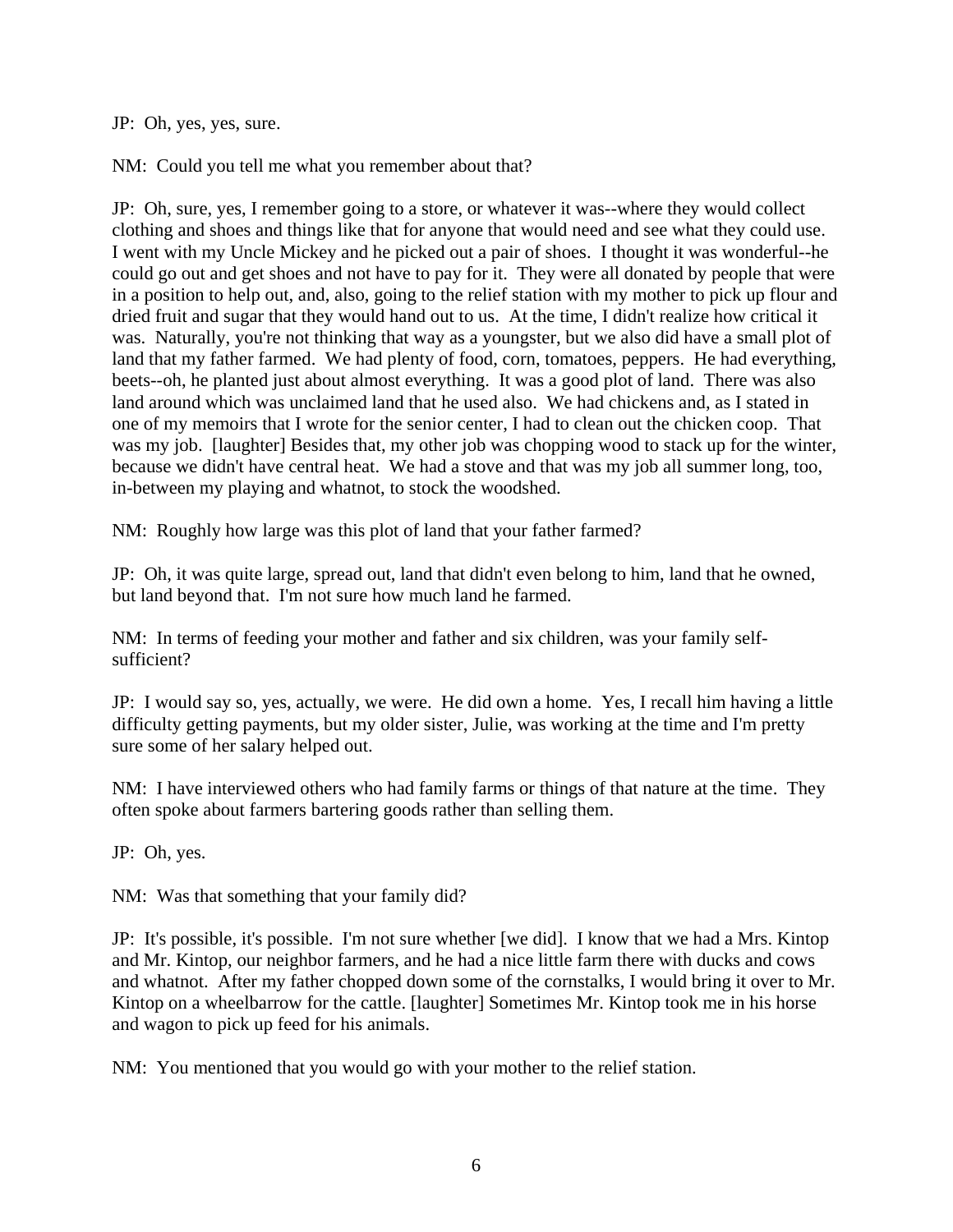JP: Oh, yes, yes, sure.

NM: Could you tell me what you remember about that?

JP: Oh, sure, yes, I remember going to a store, or whatever it was--where they would collect clothing and shoes and things like that for anyone that would need and see what they could use. I went with my Uncle Mickey and he picked out a pair of shoes. I thought it was wonderful--he could go out and get shoes and not have to pay for it. They were all donated by people that were in a position to help out, and, also, going to the relief station with my mother to pick up flour and dried fruit and sugar that they would hand out to us. At the time, I didn't realize how critical it was. Naturally, you're not thinking that way as a youngster, but we also did have a small plot of land that my father farmed. We had plenty of food, corn, tomatoes, peppers. He had everything, beets--oh, he planted just about almost everything. It was a good plot of land. There was also land around which was unclaimed land that he used also. We had chickens and, as I stated in one of my memoirs that I wrote for the senior center, I had to clean out the chicken coop. That was my job. [laughter] Besides that, my other job was chopping wood to stack up for the winter, because we didn't have central heat. We had a stove and that was my job all summer long, too, in-between my playing and whatnot, to stock the woodshed.

NM: Roughly how large was this plot of land that your father farmed?

JP: Oh, it was quite large, spread out, land that didn't even belong to him, land that he owned, but land beyond that. I'm not sure how much land he farmed.

NM: In terms of feeding your mother and father and six children, was your family selfsufficient?

JP: I would say so, yes, actually, we were. He did own a home. Yes, I recall him having a little difficulty getting payments, but my older sister, Julie, was working at the time and I'm pretty sure some of her salary helped out.

NM: I have interviewed others who had family farms or things of that nature at the time. They often spoke about farmers bartering goods rather than selling them.

JP: Oh, yes.

NM: Was that something that your family did?

JP: It's possible, it's possible. I'm not sure whether [we did]. I know that we had a Mrs. Kintop and Mr. Kintop, our neighbor farmers, and he had a nice little farm there with ducks and cows and whatnot. After my father chopped down some of the cornstalks, I would bring it over to Mr. Kintop on a wheelbarrow for the cattle. [laughter] Sometimes Mr. Kintop took me in his horse and wagon to pick up feed for his animals.

NM: You mentioned that you would go with your mother to the relief station.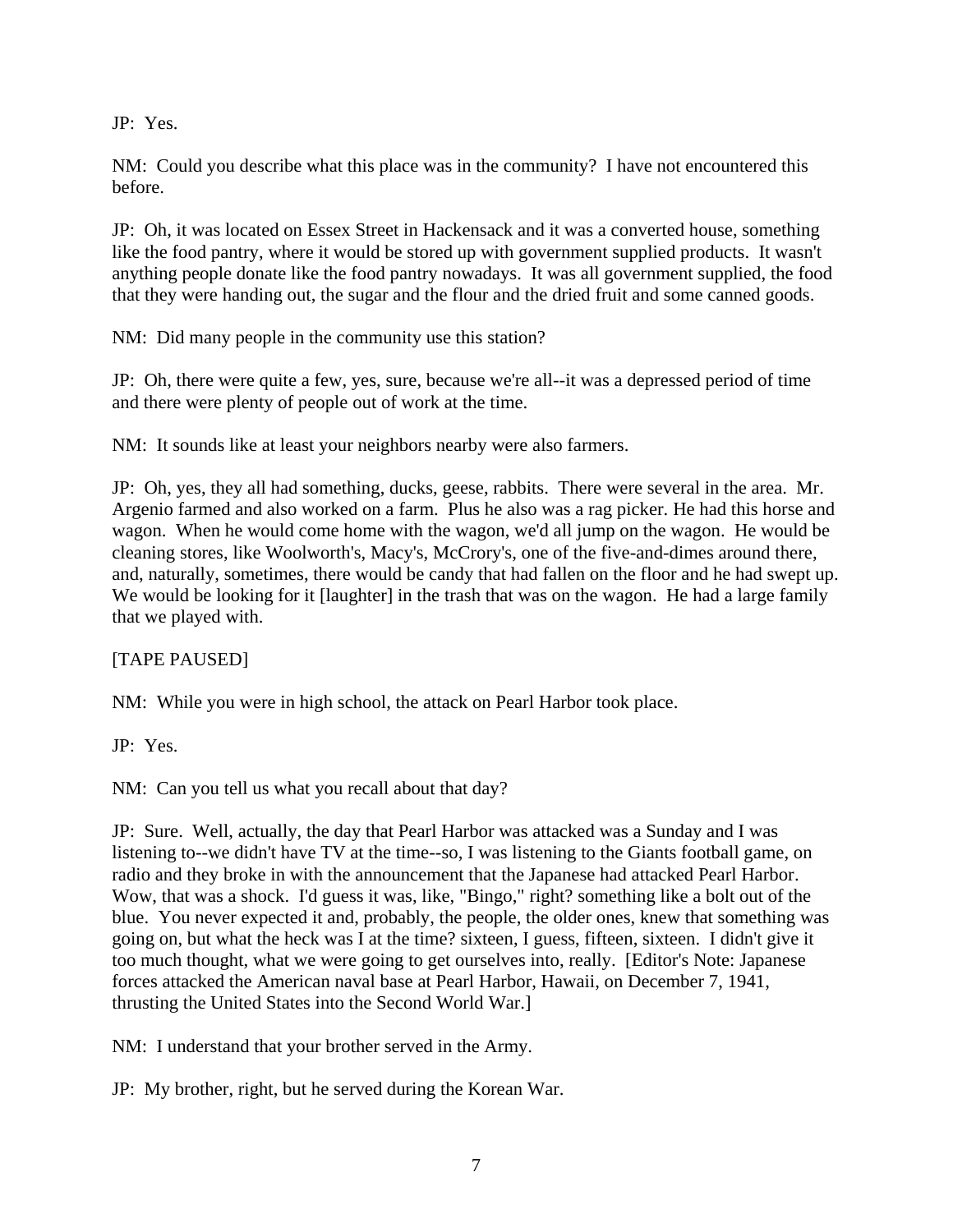JP: Yes.

NM: Could you describe what this place was in the community? I have not encountered this before.

JP: Oh, it was located on Essex Street in Hackensack and it was a converted house, something like the food pantry, where it would be stored up with government supplied products. It wasn't anything people donate like the food pantry nowadays. It was all government supplied, the food that they were handing out, the sugar and the flour and the dried fruit and some canned goods.

NM: Did many people in the community use this station?

JP: Oh, there were quite a few, yes, sure, because we're all--it was a depressed period of time and there were plenty of people out of work at the time.

NM: It sounds like at least your neighbors nearby were also farmers.

JP: Oh, yes, they all had something, ducks, geese, rabbits. There were several in the area. Mr. Argenio farmed and also worked on a farm. Plus he also was a rag picker. He had this horse and wagon. When he would come home with the wagon, we'd all jump on the wagon. He would be cleaning stores, like Woolworth's, Macy's, McCrory's, one of the five-and-dimes around there, and, naturally, sometimes, there would be candy that had fallen on the floor and he had swept up. We would be looking for it [laughter] in the trash that was on the wagon. He had a large family that we played with.

[TAPE PAUSED]

NM: While you were in high school, the attack on Pearl Harbor took place.

JP: Yes.

NM: Can you tell us what you recall about that day?

JP: Sure. Well, actually, the day that Pearl Harbor was attacked was a Sunday and I was listening to--we didn't have TV at the time--so, I was listening to the Giants football game, on radio and they broke in with the announcement that the Japanese had attacked Pearl Harbor. Wow, that was a shock. I'd guess it was, like, "Bingo," right? something like a bolt out of the blue. You never expected it and, probably, the people, the older ones, knew that something was going on, but what the heck was I at the time? sixteen, I guess, fifteen, sixteen. I didn't give it too much thought, what we were going to get ourselves into, really. [Editor's Note: Japanese forces attacked the American naval base at Pearl Harbor, Hawaii, on December 7, 1941, thrusting the United States into the Second World War.]

NM: I understand that your brother served in the Army.

JP: My brother, right, but he served during the Korean War.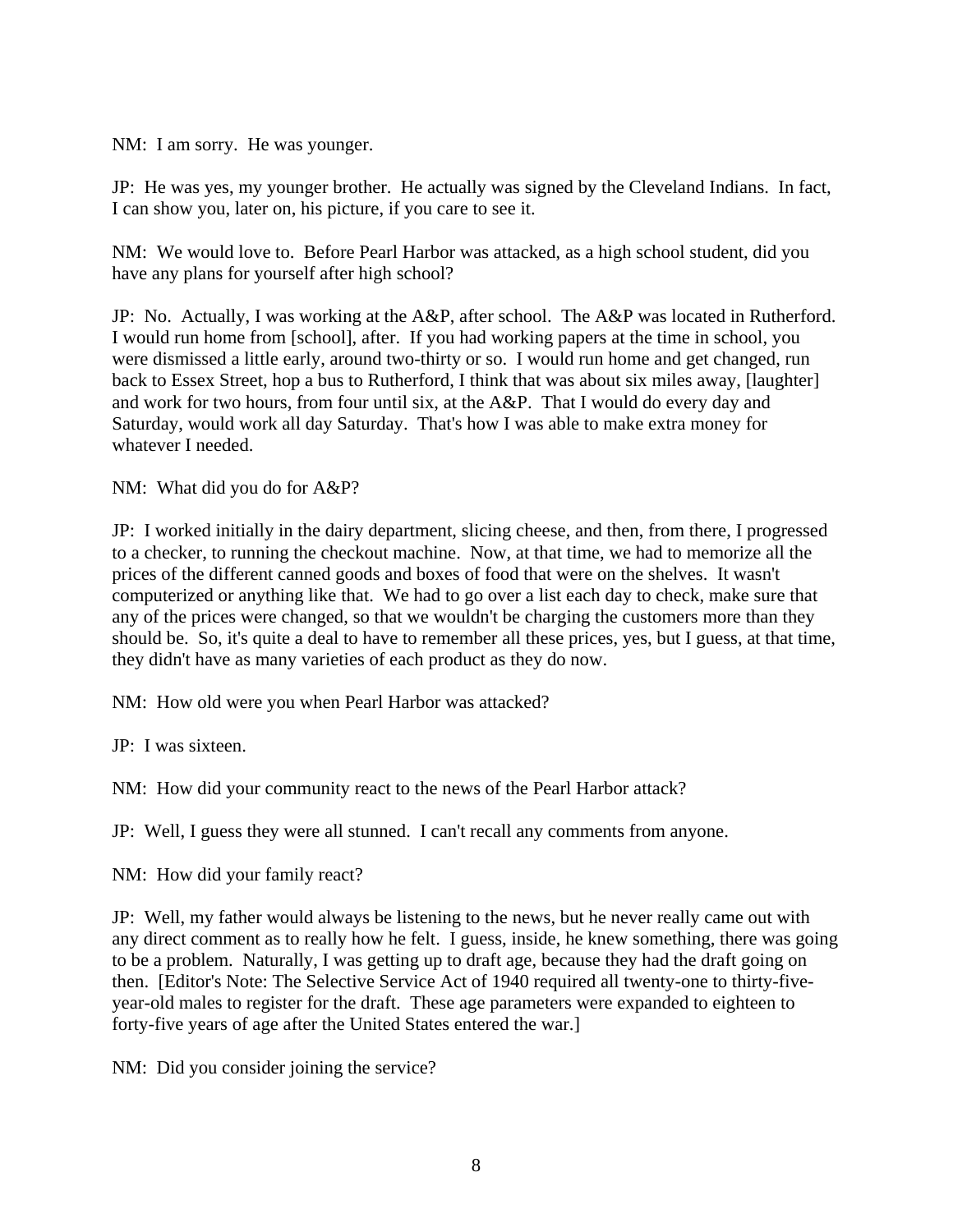NM: I am sorry. He was younger.

JP: He was yes, my younger brother. He actually was signed by the Cleveland Indians. In fact, I can show you, later on, his picture, if you care to see it.

NM: We would love to. Before Pearl Harbor was attacked, as a high school student, did you have any plans for yourself after high school?

JP: No. Actually, I was working at the A&P, after school. The A&P was located in Rutherford. I would run home from [school], after. If you had working papers at the time in school, you were dismissed a little early, around two-thirty or so. I would run home and get changed, run back to Essex Street, hop a bus to Rutherford, I think that was about six miles away, [laughter] and work for two hours, from four until six, at the A&P. That I would do every day and Saturday, would work all day Saturday. That's how I was able to make extra money for whatever I needed.

NM: What did you do for A&P?

JP: I worked initially in the dairy department, slicing cheese, and then, from there, I progressed to a checker, to running the checkout machine. Now, at that time, we had to memorize all the prices of the different canned goods and boxes of food that were on the shelves. It wasn't computerized or anything like that. We had to go over a list each day to check, make sure that any of the prices were changed, so that we wouldn't be charging the customers more than they should be. So, it's quite a deal to have to remember all these prices, yes, but I guess, at that time, they didn't have as many varieties of each product as they do now.

NM: How old were you when Pearl Harbor was attacked?

JP: I was sixteen.

NM: How did your community react to the news of the Pearl Harbor attack?

JP: Well, I guess they were all stunned. I can't recall any comments from anyone.

NM: How did your family react?

JP: Well, my father would always be listening to the news, but he never really came out with any direct comment as to really how he felt. I guess, inside, he knew something, there was going to be a problem. Naturally, I was getting up to draft age, because they had the draft going on then. [Editor's Note: The Selective Service Act of 1940 required all twenty-one to thirty-fiveyear-old males to register for the draft. These age parameters were expanded to eighteen to forty-five years of age after the United States entered the war.]

NM: Did you consider joining the service?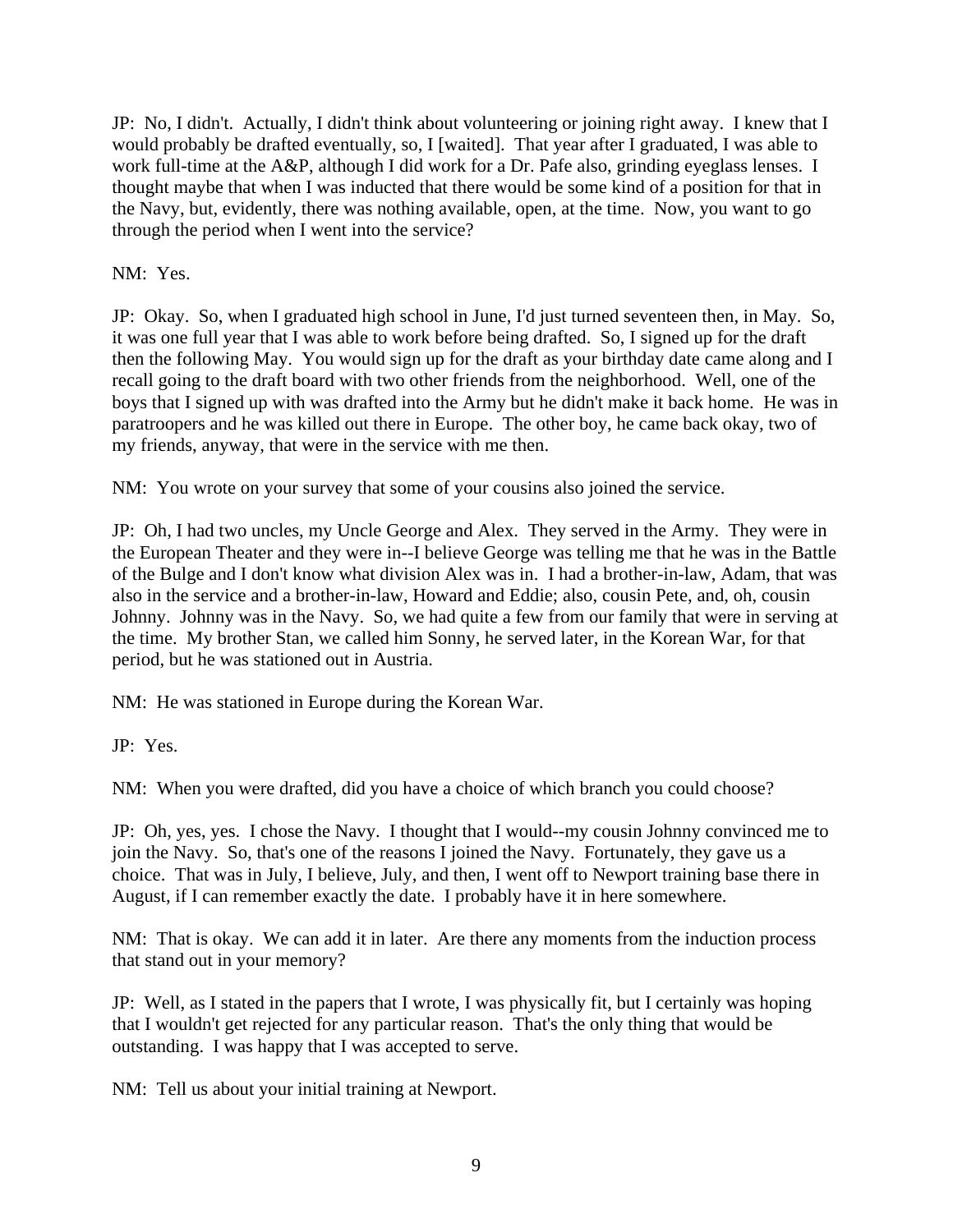JP: No, I didn't. Actually, I didn't think about volunteering or joining right away. I knew that I would probably be drafted eventually, so, I [waited]. That year after I graduated, I was able to work full-time at the A&P, although I did work for a Dr. Pafe also, grinding eyeglass lenses. I thought maybe that when I was inducted that there would be some kind of a position for that in the Navy, but, evidently, there was nothing available, open, at the time. Now, you want to go through the period when I went into the service?

NM: Yes.

JP: Okay. So, when I graduated high school in June, I'd just turned seventeen then, in May. So, it was one full year that I was able to work before being drafted. So, I signed up for the draft then the following May. You would sign up for the draft as your birthday date came along and I recall going to the draft board with two other friends from the neighborhood. Well, one of the boys that I signed up with was drafted into the Army but he didn't make it back home. He was in paratroopers and he was killed out there in Europe. The other boy, he came back okay, two of my friends, anyway, that were in the service with me then.

NM: You wrote on your survey that some of your cousins also joined the service.

JP: Oh, I had two uncles, my Uncle George and Alex. They served in the Army. They were in the European Theater and they were in--I believe George was telling me that he was in the Battle of the Bulge and I don't know what division Alex was in. I had a brother-in-law, Adam, that was also in the service and a brother-in-law, Howard and Eddie; also, cousin Pete, and, oh, cousin Johnny. Johnny was in the Navy. So, we had quite a few from our family that were in serving at the time. My brother Stan, we called him Sonny, he served later, in the Korean War, for that period, but he was stationed out in Austria.

NM: He was stationed in Europe during the Korean War.

JP: Yes.

NM: When you were drafted, did you have a choice of which branch you could choose?

JP: Oh, yes, yes. I chose the Navy. I thought that I would--my cousin Johnny convinced me to join the Navy. So, that's one of the reasons I joined the Navy. Fortunately, they gave us a choice. That was in July, I believe, July, and then, I went off to Newport training base there in August, if I can remember exactly the date. I probably have it in here somewhere.

NM: That is okay. We can add it in later. Are there any moments from the induction process that stand out in your memory?

JP: Well, as I stated in the papers that I wrote, I was physically fit, but I certainly was hoping that I wouldn't get rejected for any particular reason. That's the only thing that would be outstanding. I was happy that I was accepted to serve.

NM: Tell us about your initial training at Newport.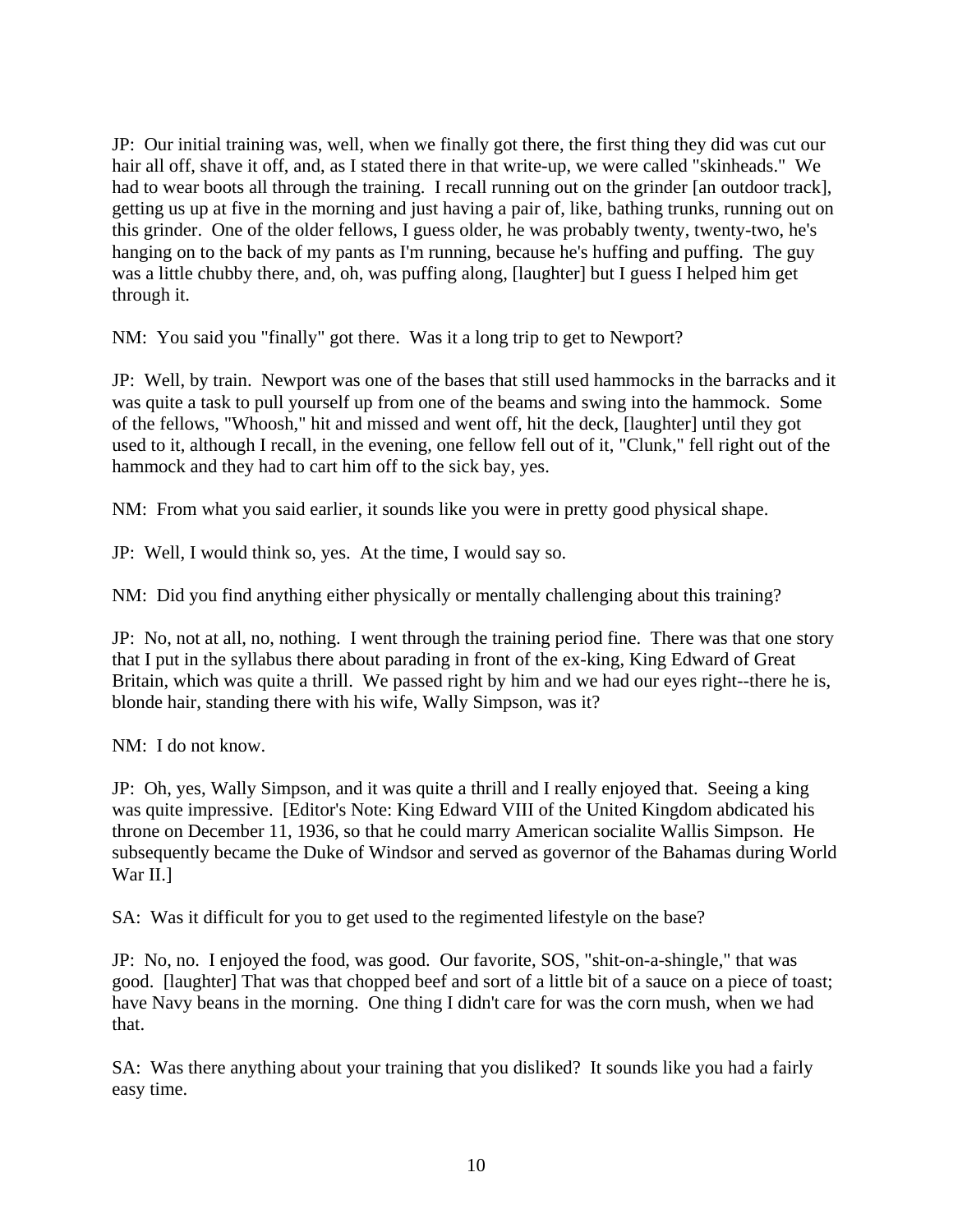JP: Our initial training was, well, when we finally got there, the first thing they did was cut our hair all off, shave it off, and, as I stated there in that write-up, we were called "skinheads." We had to wear boots all through the training. I recall running out on the grinder [an outdoor track], getting us up at five in the morning and just having a pair of, like, bathing trunks, running out on this grinder. One of the older fellows, I guess older, he was probably twenty, twenty-two, he's hanging on to the back of my pants as I'm running, because he's huffing and puffing. The guy was a little chubby there, and, oh, was puffing along, [laughter] but I guess I helped him get through it.

NM: You said you "finally" got there. Was it a long trip to get to Newport?

JP: Well, by train. Newport was one of the bases that still used hammocks in the barracks and it was quite a task to pull yourself up from one of the beams and swing into the hammock. Some of the fellows, "Whoosh," hit and missed and went off, hit the deck, [laughter] until they got used to it, although I recall, in the evening, one fellow fell out of it, "Clunk," fell right out of the hammock and they had to cart him off to the sick bay, yes.

NM: From what you said earlier, it sounds like you were in pretty good physical shape.

JP: Well, I would think so, yes. At the time, I would say so.

NM: Did you find anything either physically or mentally challenging about this training?

JP: No, not at all, no, nothing. I went through the training period fine. There was that one story that I put in the syllabus there about parading in front of the ex-king, King Edward of Great Britain, which was quite a thrill. We passed right by him and we had our eyes right--there he is, blonde hair, standing there with his wife, Wally Simpson, was it?

NM: I do not know.

JP: Oh, yes, Wally Simpson, and it was quite a thrill and I really enjoyed that. Seeing a king was quite impressive. [Editor's Note: King Edward VIII of the United Kingdom abdicated his throne on December 11, 1936, so that he could marry American socialite Wallis Simpson. He subsequently became the Duke of Windsor and served as governor of the Bahamas during World War II.]

SA: Was it difficult for you to get used to the regimented lifestyle on the base?

JP: No, no. I enjoyed the food, was good. Our favorite, SOS, "shit-on-a-shingle," that was good. [laughter] That was that chopped beef and sort of a little bit of a sauce on a piece of toast; have Navy beans in the morning. One thing I didn't care for was the corn mush, when we had that.

SA: Was there anything about your training that you disliked? It sounds like you had a fairly easy time.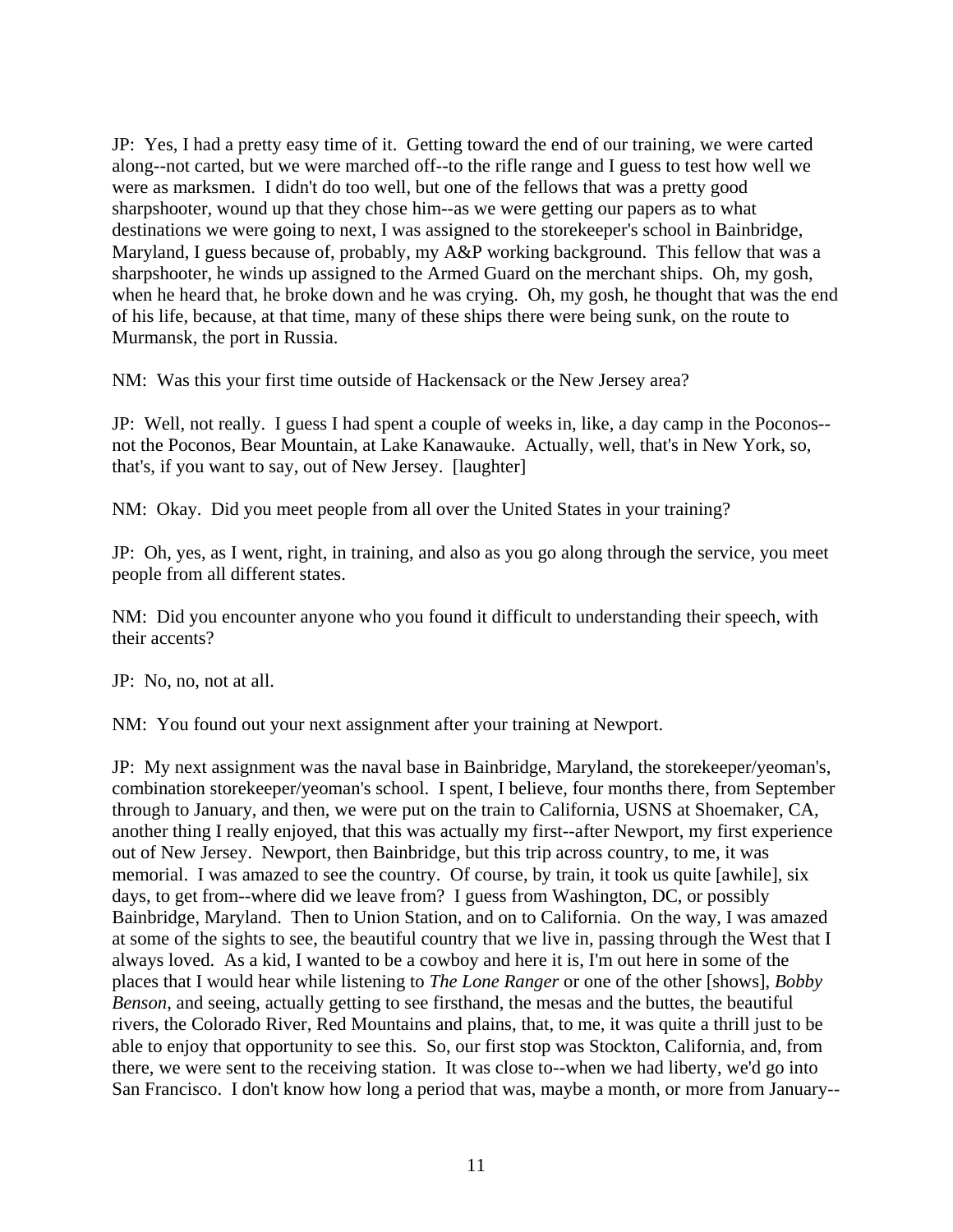JP: Yes, I had a pretty easy time of it. Getting toward the end of our training, we were carted along--not carted, but we were marched off--to the rifle range and I guess to test how well we were as marksmen. I didn't do too well, but one of the fellows that was a pretty good sharpshooter, wound up that they chose him--as we were getting our papers as to what destinations we were going to next, I was assigned to the storekeeper's school in Bainbridge, Maryland, I guess because of, probably, my A&P working background. This fellow that was a sharpshooter, he winds up assigned to the Armed Guard on the merchant ships. Oh, my gosh, when he heard that, he broke down and he was crying. Oh, my gosh, he thought that was the end of his life, because, at that time, many of these ships there were being sunk, on the route to Murmansk, the port in Russia.

NM: Was this your first time outside of Hackensack or the New Jersey area?

JP: Well, not really. I guess I had spent a couple of weeks in, like, a day camp in the Poconos- not the Poconos, Bear Mountain, at Lake Kanawauke. Actually, well, that's in New York, so, that's, if you want to say, out of New Jersey. [laughter]

NM: Okay. Did you meet people from all over the United States in your training?

JP: Oh, yes, as I went, right, in training, and also as you go along through the service, you meet people from all different states.

NM: Did you encounter anyone who you found it difficult to understanding their speech, with their accents?

JP: No, no, not at all.

NM: You found out your next assignment after your training at Newport.

JP: My next assignment was the naval base in Bainbridge, Maryland, the storekeeper/yeoman's, combination storekeeper/yeoman's school. I spent, I believe, four months there, from September through to January, and then, we were put on the train to California, USNS at Shoemaker, CA, another thing I really enjoyed, that this was actually my first--after Newport, my first experience out of New Jersey. Newport, then Bainbridge, but this trip across country, to me, it was memorial. I was amazed to see the country. Of course, by train, it took us quite [awhile], six days, to get from--where did we leave from? I guess from Washington, DC, or possibly Bainbridge, Maryland. Then to Union Station, and on to California. On the way, I was amazed at some of the sights to see, the beautiful country that we live in, passing through the West that I always loved. As a kid, I wanted to be a cowboy and here it is, I'm out here in some of the places that I would hear while listening to *The Lone Ranger* or one of the other [shows], *Bobby Benson*, and seeing, actually getting to see firsthand, the mesas and the buttes, the beautiful rivers, the Colorado River, Red Mountains and plains, that, to me, it was quite a thrill just to be able to enjoy that opportunity to see this. So, our first stop was Stockton, California, and, from there, we were sent to the receiving station. It was close to--when we had liberty, we'd go into San Francisco. I don't know how long a period that was, maybe a month, or more from January--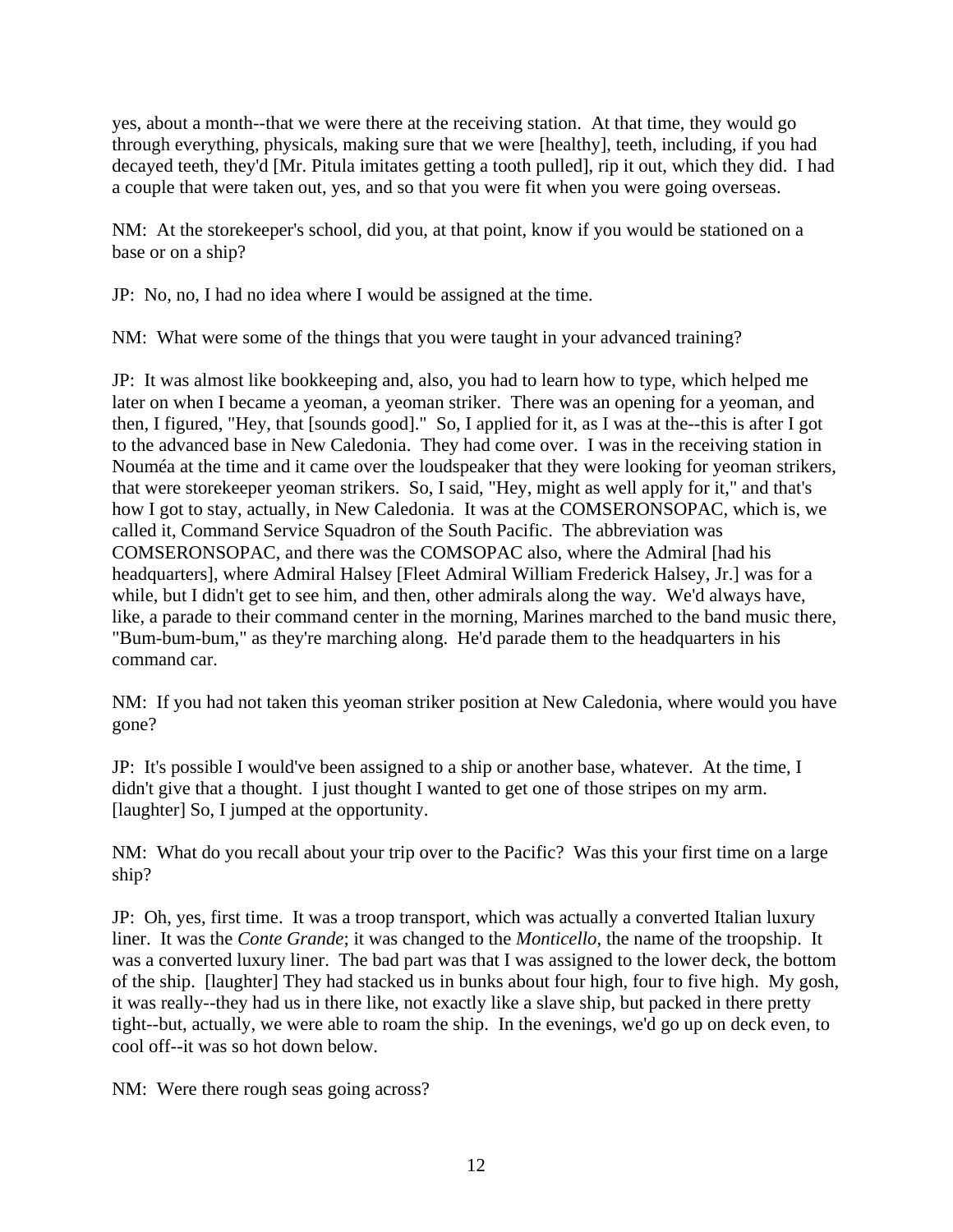yes, about a month--that we were there at the receiving station. At that time, they would go through everything, physicals, making sure that we were [healthy], teeth, including, if you had decayed teeth, they'd [Mr. Pitula imitates getting a tooth pulled], rip it out, which they did. I had a couple that were taken out, yes, and so that you were fit when you were going overseas.

NM: At the storekeeper's school, did you, at that point, know if you would be stationed on a base or on a ship?

JP: No, no, I had no idea where I would be assigned at the time.

NM: What were some of the things that you were taught in your advanced training?

JP: It was almost like bookkeeping and, also, you had to learn how to type, which helped me later on when I became a yeoman, a yeoman striker. There was an opening for a yeoman, and then, I figured, "Hey, that [sounds good]." So, I applied for it, as I was at the--this is after I got to the advanced base in New Caledonia. They had come over. I was in the receiving station in Nouméa at the time and it came over the loudspeaker that they were looking for yeoman strikers, that were storekeeper yeoman strikers. So, I said, "Hey, might as well apply for it," and that's how I got to stay, actually, in New Caledonia. It was at the COMSERONSOPAC, which is, we called it, Command Service Squadron of the South Pacific. The abbreviation was COMSERONSOPAC, and there was the COMSOPAC also, where the Admiral [had his headquarters], where Admiral Halsey [Fleet Admiral William Frederick Halsey, Jr.] was for a while, but I didn't get to see him, and then, other admirals along the way. We'd always have, like, a parade to their command center in the morning, Marines marched to the band music there, "Bum-bum-bum," as they're marching along. He'd parade them to the headquarters in his command car.

NM: If you had not taken this yeoman striker position at New Caledonia, where would you have gone?

JP: It's possible I would've been assigned to a ship or another base, whatever. At the time, I didn't give that a thought. I just thought I wanted to get one of those stripes on my arm. [laughter] So, I jumped at the opportunity.

NM: What do you recall about your trip over to the Pacific? Was this your first time on a large ship?

JP: Oh, yes, first time. It was a troop transport, which was actually a converted Italian luxury liner. It was the *Conte Grande*; it was changed to the *Monticello*, the name of the troopship. It was a converted luxury liner. The bad part was that I was assigned to the lower deck, the bottom of the ship. [laughter] They had stacked us in bunks about four high, four to five high. My gosh, it was really--they had us in there like, not exactly like a slave ship, but packed in there pretty tight--but, actually, we were able to roam the ship. In the evenings, we'd go up on deck even, to cool off--it was so hot down below.

NM: Were there rough seas going across?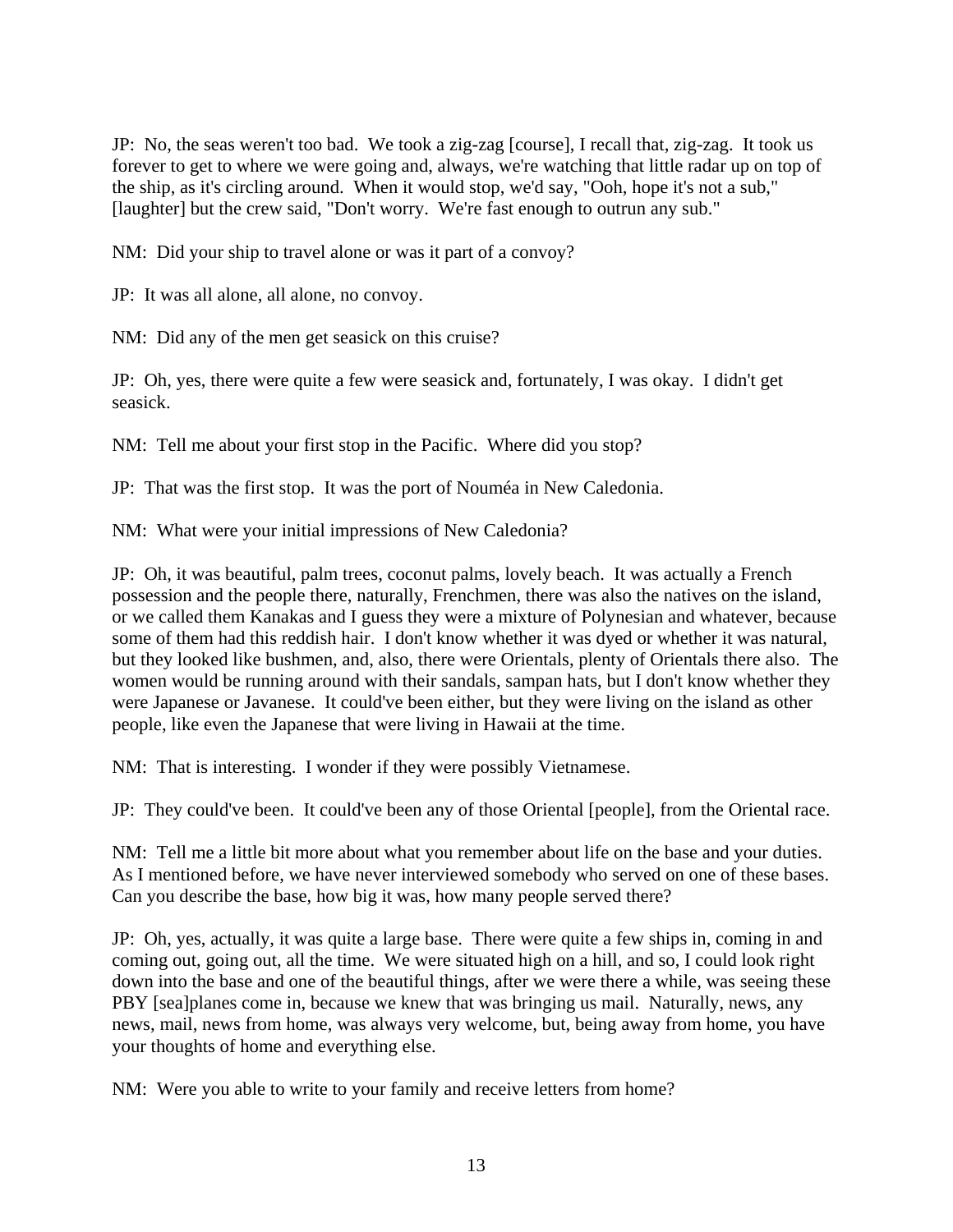JP: No, the seas weren't too bad. We took a zig-zag [course], I recall that, zig-zag. It took us forever to get to where we were going and, always, we're watching that little radar up on top of the ship, as it's circling around. When it would stop, we'd say, "Ooh, hope it's not a sub," [laughter] but the crew said, "Don't worry. We're fast enough to outrun any sub."

NM: Did your ship to travel alone or was it part of a convoy?

JP: It was all alone, all alone, no convoy.

NM: Did any of the men get seasick on this cruise?

JP: Oh, yes, there were quite a few were seasick and, fortunately, I was okay. I didn't get seasick.

NM: Tell me about your first stop in the Pacific. Where did you stop?

JP: That was the first stop. It was the port of Nouméa in New Caledonia.

NM: What were your initial impressions of New Caledonia?

JP: Oh, it was beautiful, palm trees, coconut palms, lovely beach. It was actually a French possession and the people there, naturally, Frenchmen, there was also the natives on the island, or we called them Kanakas and I guess they were a mixture of Polynesian and whatever, because some of them had this reddish hair. I don't know whether it was dyed or whether it was natural, but they looked like bushmen, and, also, there were Orientals, plenty of Orientals there also. The women would be running around with their sandals, sampan hats, but I don't know whether they were Japanese or Javanese. It could've been either, but they were living on the island as other people, like even the Japanese that were living in Hawaii at the time.

NM: That is interesting. I wonder if they were possibly Vietnamese.

JP: They could've been. It could've been any of those Oriental [people], from the Oriental race.

NM: Tell me a little bit more about what you remember about life on the base and your duties. As I mentioned before, we have never interviewed somebody who served on one of these bases. Can you describe the base, how big it was, how many people served there?

JP: Oh, yes, actually, it was quite a large base. There were quite a few ships in, coming in and coming out, going out, all the time. We were situated high on a hill, and so, I could look right down into the base and one of the beautiful things, after we were there a while, was seeing these PBY [sea]planes come in, because we knew that was bringing us mail. Naturally, news, any news, mail, news from home, was always very welcome, but, being away from home, you have your thoughts of home and everything else.

NM: Were you able to write to your family and receive letters from home?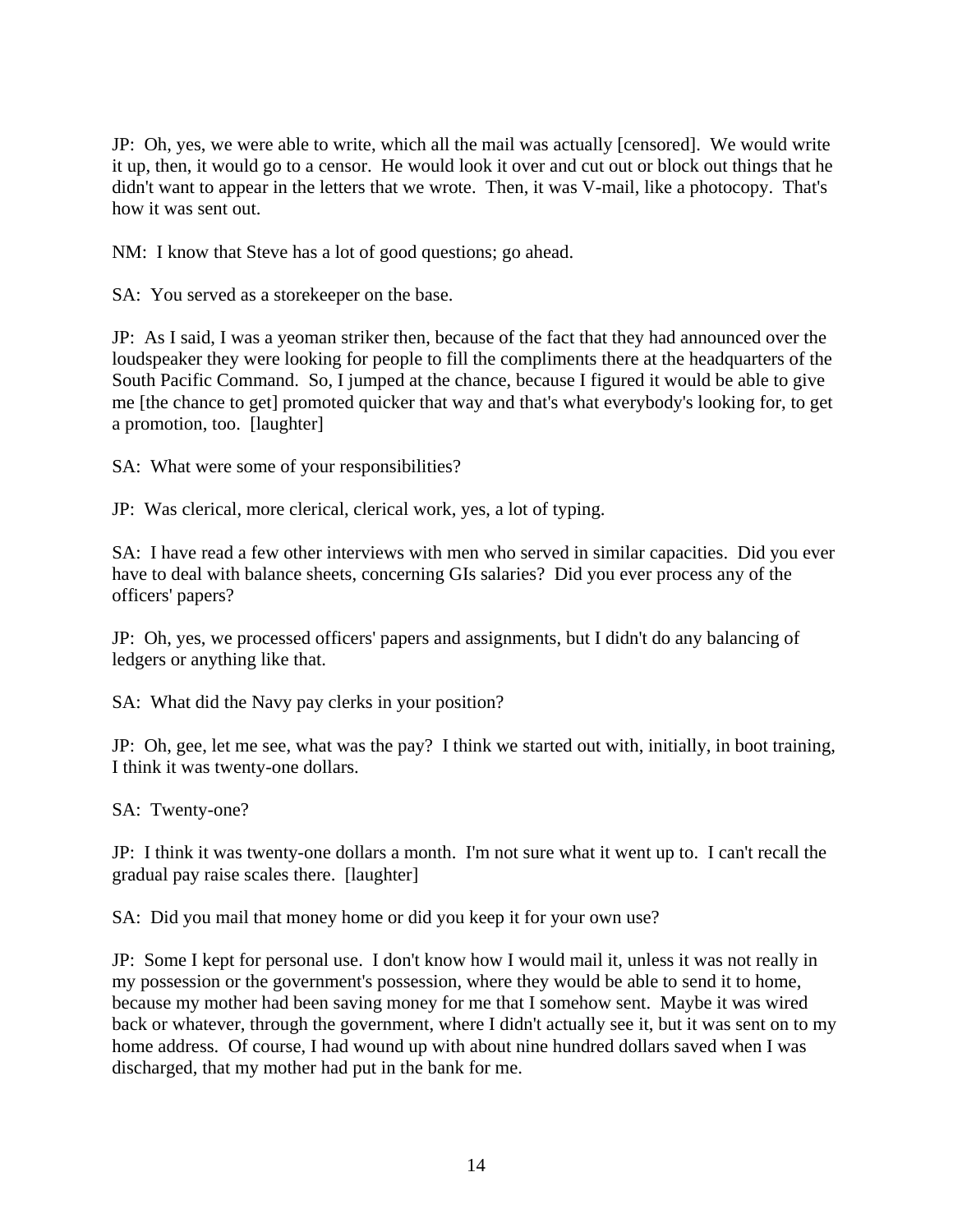JP: Oh, yes, we were able to write, which all the mail was actually [censored]. We would write it up, then, it would go to a censor. He would look it over and cut out or block out things that he didn't want to appear in the letters that we wrote. Then, it was V-mail, like a photocopy. That's how it was sent out.

NM: I know that Steve has a lot of good questions; go ahead.

SA: You served as a storekeeper on the base.

JP: As I said, I was a yeoman striker then, because of the fact that they had announced over the loudspeaker they were looking for people to fill the compliments there at the headquarters of the South Pacific Command. So, I jumped at the chance, because I figured it would be able to give me [the chance to get] promoted quicker that way and that's what everybody's looking for, to get a promotion, too. [laughter]

SA: What were some of your responsibilities?

JP: Was clerical, more clerical, clerical work, yes, a lot of typing.

SA: I have read a few other interviews with men who served in similar capacities. Did you ever have to deal with balance sheets, concerning GIs salaries? Did you ever process any of the officers' papers?

JP: Oh, yes, we processed officers' papers and assignments, but I didn't do any balancing of ledgers or anything like that.

SA: What did the Navy pay clerks in your position?

JP: Oh, gee, let me see, what was the pay? I think we started out with, initially, in boot training, I think it was twenty-one dollars.

SA: Twenty-one?

JP: I think it was twenty-one dollars a month. I'm not sure what it went up to. I can't recall the gradual pay raise scales there. [laughter]

SA: Did you mail that money home or did you keep it for your own use?

JP: Some I kept for personal use. I don't know how I would mail it, unless it was not really in my possession or the government's possession, where they would be able to send it to home, because my mother had been saving money for me that I somehow sent. Maybe it was wired back or whatever, through the government, where I didn't actually see it, but it was sent on to my home address. Of course, I had wound up with about nine hundred dollars saved when I was discharged, that my mother had put in the bank for me.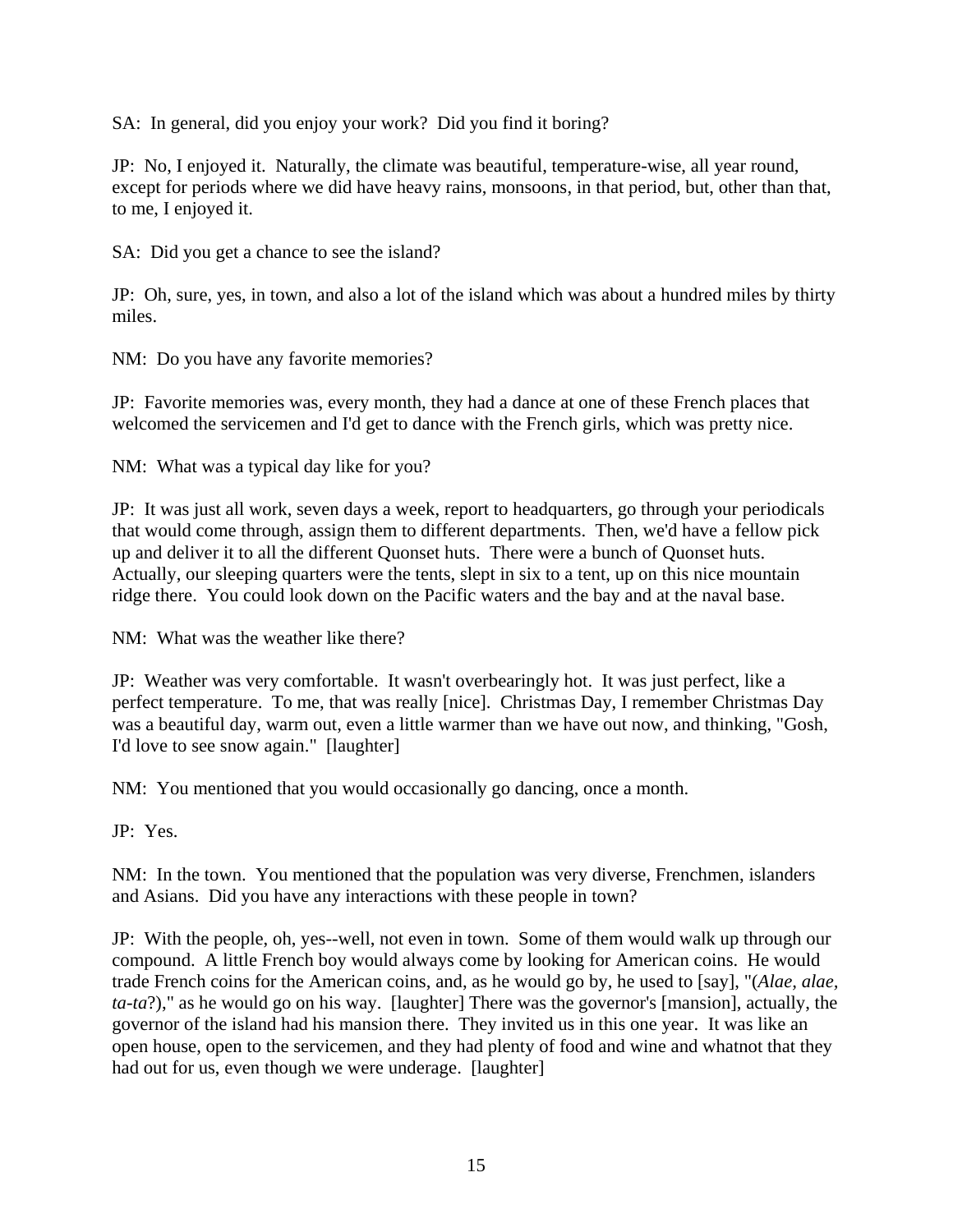SA: In general, did you enjoy your work? Did you find it boring?

JP: No, I enjoyed it. Naturally, the climate was beautiful, temperature-wise, all year round, except for periods where we did have heavy rains, monsoons, in that period, but, other than that, to me, I enjoyed it.

SA: Did you get a chance to see the island?

JP: Oh, sure, yes, in town, and also a lot of the island which was about a hundred miles by thirty miles.

NM: Do you have any favorite memories?

JP: Favorite memories was, every month, they had a dance at one of these French places that welcomed the servicemen and I'd get to dance with the French girls, which was pretty nice.

NM: What was a typical day like for you?

JP: It was just all work, seven days a week, report to headquarters, go through your periodicals that would come through, assign them to different departments. Then, we'd have a fellow pick up and deliver it to all the different Quonset huts. There were a bunch of Quonset huts. Actually, our sleeping quarters were the tents, slept in six to a tent, up on this nice mountain ridge there. You could look down on the Pacific waters and the bay and at the naval base.

NM: What was the weather like there?

JP: Weather was very comfortable. It wasn't overbearingly hot. It was just perfect, like a perfect temperature. To me, that was really [nice]. Christmas Day, I remember Christmas Day was a beautiful day, warm out, even a little warmer than we have out now, and thinking, "Gosh, I'd love to see snow again." [laughter]

NM: You mentioned that you would occasionally go dancing, once a month.

JP: Yes.

NM: In the town. You mentioned that the population was very diverse, Frenchmen, islanders and Asians. Did you have any interactions with these people in town?

JP: With the people, oh, yes--well, not even in town. Some of them would walk up through our compound. A little French boy would always come by looking for American coins. He would trade French coins for the American coins, and, as he would go by, he used to [say], "(*Alae, alae, ta-ta*?)," as he would go on his way. [laughter] There was the governor's [mansion], actually, the governor of the island had his mansion there. They invited us in this one year. It was like an open house, open to the servicemen, and they had plenty of food and wine and whatnot that they had out for us, even though we were underage. [laughter]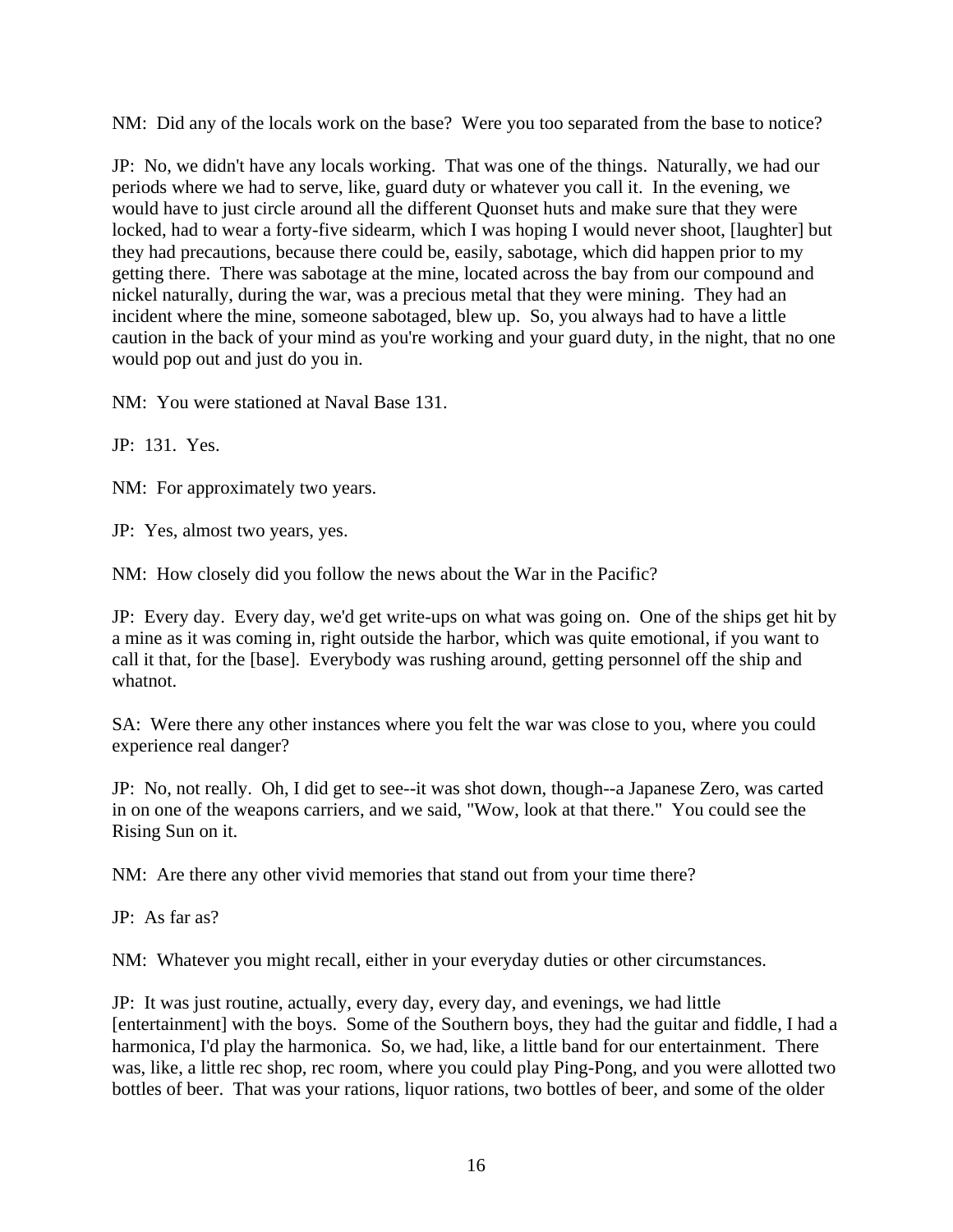NM: Did any of the locals work on the base? Were you too separated from the base to notice?

JP: No, we didn't have any locals working. That was one of the things. Naturally, we had our periods where we had to serve, like, guard duty or whatever you call it. In the evening, we would have to just circle around all the different Quonset huts and make sure that they were locked, had to wear a forty-five sidearm, which I was hoping I would never shoot, [laughter] but they had precautions, because there could be, easily, sabotage, which did happen prior to my getting there. There was sabotage at the mine, located across the bay from our compound and nickel naturally, during the war, was a precious metal that they were mining. They had an incident where the mine, someone sabotaged, blew up. So, you always had to have a little caution in the back of your mind as you're working and your guard duty, in the night, that no one would pop out and just do you in.

NM: You were stationed at Naval Base 131.

JP: 131. Yes.

NM: For approximately two years.

JP: Yes, almost two years, yes.

NM: How closely did you follow the news about the War in the Pacific?

JP: Every day. Every day, we'd get write-ups on what was going on. One of the ships get hit by a mine as it was coming in, right outside the harbor, which was quite emotional, if you want to call it that, for the [base]. Everybody was rushing around, getting personnel off the ship and whatnot.

SA: Were there any other instances where you felt the war was close to you, where you could experience real danger?

JP: No, not really. Oh, I did get to see--it was shot down, though--a Japanese Zero, was carted in on one of the weapons carriers, and we said, "Wow, look at that there." You could see the Rising Sun on it.

NM: Are there any other vivid memories that stand out from your time there?

JP: As far as?

NM: Whatever you might recall, either in your everyday duties or other circumstances.

JP: It was just routine, actually, every day, every day, and evenings, we had little [entertainment] with the boys. Some of the Southern boys, they had the guitar and fiddle, I had a harmonica, I'd play the harmonica. So, we had, like, a little band for our entertainment. There was, like, a little rec shop, rec room, where you could play Ping-Pong, and you were allotted two bottles of beer. That was your rations, liquor rations, two bottles of beer, and some of the older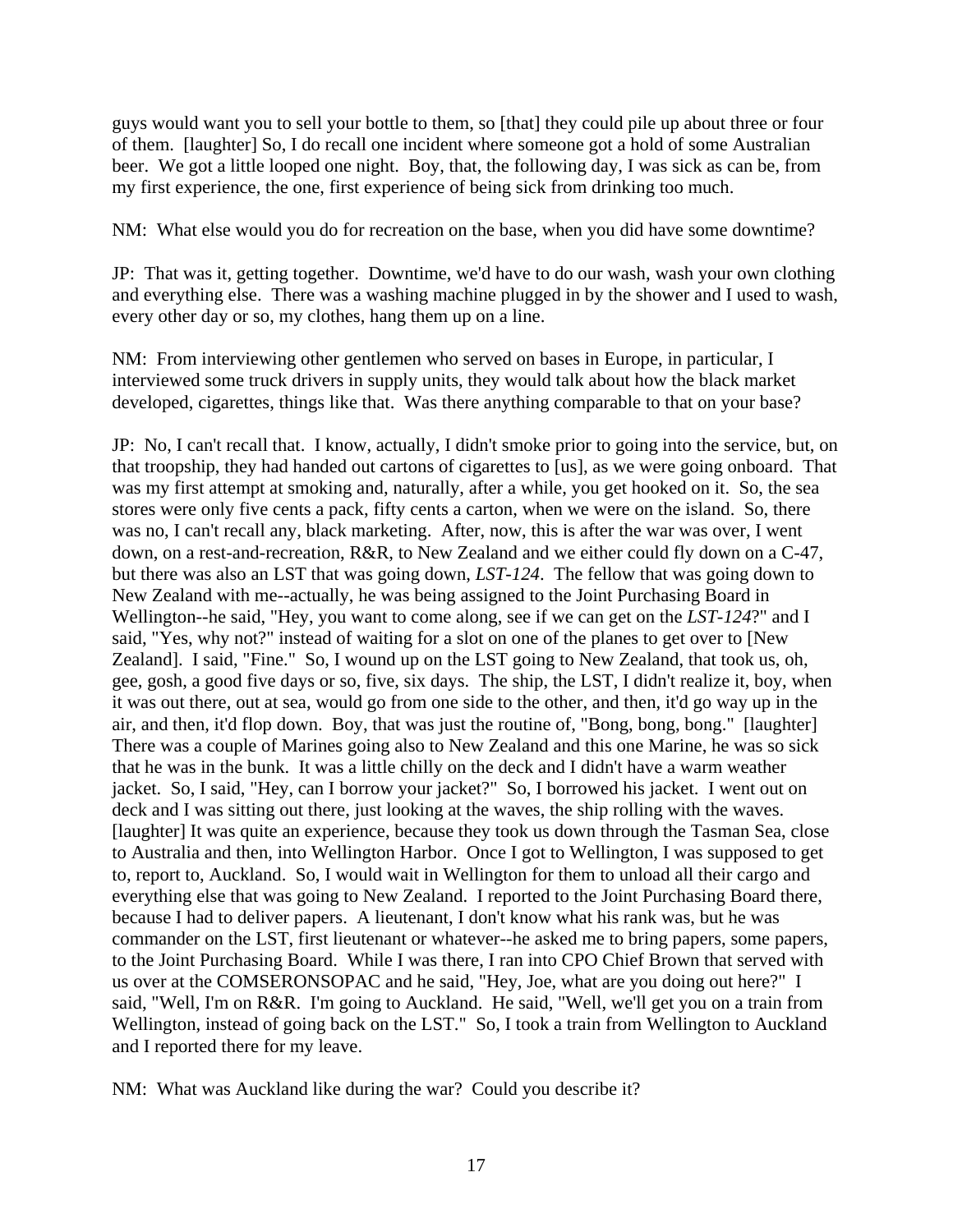guys would want you to sell your bottle to them, so [that] they could pile up about three or four of them. [laughter] So, I do recall one incident where someone got a hold of some Australian beer. We got a little looped one night. Boy, that, the following day, I was sick as can be, from my first experience, the one, first experience of being sick from drinking too much.

NM: What else would you do for recreation on the base, when you did have some downtime?

JP: That was it, getting together. Downtime, we'd have to do our wash, wash your own clothing and everything else. There was a washing machine plugged in by the shower and I used to wash, every other day or so, my clothes, hang them up on a line.

NM: From interviewing other gentlemen who served on bases in Europe, in particular, I interviewed some truck drivers in supply units, they would talk about how the black market developed, cigarettes, things like that. Was there anything comparable to that on your base?

JP: No, I can't recall that. I know, actually, I didn't smoke prior to going into the service, but, on that troopship, they had handed out cartons of cigarettes to [us], as we were going onboard. That was my first attempt at smoking and, naturally, after a while, you get hooked on it. So, the sea stores were only five cents a pack, fifty cents a carton, when we were on the island. So, there was no, I can't recall any, black marketing. After, now, this is after the war was over, I went down, on a rest-and-recreation, R&R, to New Zealand and we either could fly down on a C-47, but there was also an LST that was going down, *LST-124*. The fellow that was going down to New Zealand with me--actually, he was being assigned to the Joint Purchasing Board in Wellington--he said, "Hey, you want to come along, see if we can get on the *LST-124*?" and I said, "Yes, why not?" instead of waiting for a slot on one of the planes to get over to [New Zealand]. I said, "Fine." So, I wound up on the LST going to New Zealand, that took us, oh, gee, gosh, a good five days or so, five, six days. The ship, the LST, I didn't realize it, boy, when it was out there, out at sea, would go from one side to the other, and then, it'd go way up in the air, and then, it'd flop down. Boy, that was just the routine of, "Bong, bong, bong." [laughter] There was a couple of Marines going also to New Zealand and this one Marine, he was so sick that he was in the bunk. It was a little chilly on the deck and I didn't have a warm weather jacket. So, I said, "Hey, can I borrow your jacket?" So, I borrowed his jacket. I went out on deck and I was sitting out there, just looking at the waves, the ship rolling with the waves. [laughter] It was quite an experience, because they took us down through the Tasman Sea, close to Australia and then, into Wellington Harbor. Once I got to Wellington, I was supposed to get to, report to, Auckland. So, I would wait in Wellington for them to unload all their cargo and everything else that was going to New Zealand. I reported to the Joint Purchasing Board there, because I had to deliver papers. A lieutenant, I don't know what his rank was, but he was commander on the LST, first lieutenant or whatever--he asked me to bring papers, some papers, to the Joint Purchasing Board. While I was there, I ran into CPO Chief Brown that served with us over at the COMSERONSOPAC and he said, "Hey, Joe, what are you doing out here?" I said, "Well, I'm on R&R. I'm going to Auckland. He said, "Well, we'll get you on a train from Wellington, instead of going back on the LST." So, I took a train from Wellington to Auckland and I reported there for my leave.

NM: What was Auckland like during the war? Could you describe it?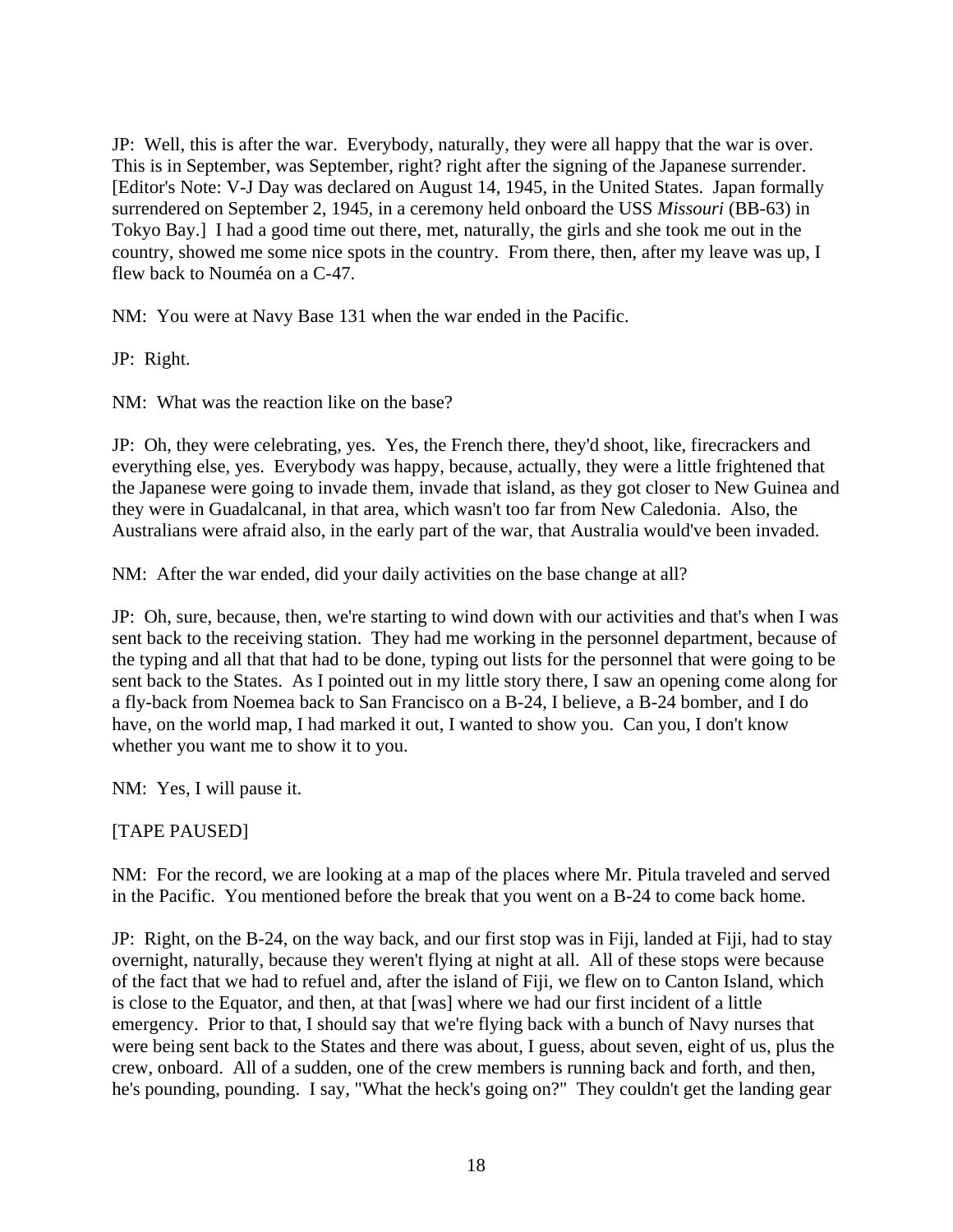JP: Well, this is after the war. Everybody, naturally, they were all happy that the war is over. This is in September, was September, right? right after the signing of the Japanese surrender. [Editor's Note: V-J Day was declared on August 14, 1945, in the United States. Japan formally surrendered on September 2, 1945, in a ceremony held onboard the USS *Missouri* (BB-63) in Tokyo Bay.] I had a good time out there, met, naturally, the girls and she took me out in the country, showed me some nice spots in the country. From there, then, after my leave was up, I flew back to Nouméa on a C-47.

NM: You were at Navy Base 131 when the war ended in the Pacific.

JP: Right.

NM: What was the reaction like on the base?

JP: Oh, they were celebrating, yes. Yes, the French there, they'd shoot, like, firecrackers and everything else, yes. Everybody was happy, because, actually, they were a little frightened that the Japanese were going to invade them, invade that island, as they got closer to New Guinea and they were in Guadalcanal, in that area, which wasn't too far from New Caledonia. Also, the Australians were afraid also, in the early part of the war, that Australia would've been invaded.

NM: After the war ended, did your daily activities on the base change at all?

JP: Oh, sure, because, then, we're starting to wind down with our activities and that's when I was sent back to the receiving station. They had me working in the personnel department, because of the typing and all that that had to be done, typing out lists for the personnel that were going to be sent back to the States. As I pointed out in my little story there, I saw an opening come along for a fly-back from Noemea back to San Francisco on a B-24, I believe, a B-24 bomber, and I do have, on the world map, I had marked it out, I wanted to show you. Can you, I don't know whether you want me to show it to you.

NM: Yes, I will pause it.

[TAPE PAUSED]

NM: For the record, we are looking at a map of the places where Mr. Pitula traveled and served in the Pacific. You mentioned before the break that you went on a B-24 to come back home.

JP: Right, on the B-24, on the way back, and our first stop was in Fiji, landed at Fiji, had to stay overnight, naturally, because they weren't flying at night at all. All of these stops were because of the fact that we had to refuel and, after the island of Fiji, we flew on to Canton Island, which is close to the Equator, and then, at that [was] where we had our first incident of a little emergency. Prior to that, I should say that we're flying back with a bunch of Navy nurses that were being sent back to the States and there was about, I guess, about seven, eight of us, plus the crew, onboard. All of a sudden, one of the crew members is running back and forth, and then, he's pounding, pounding. I say, "What the heck's going on?" They couldn't get the landing gear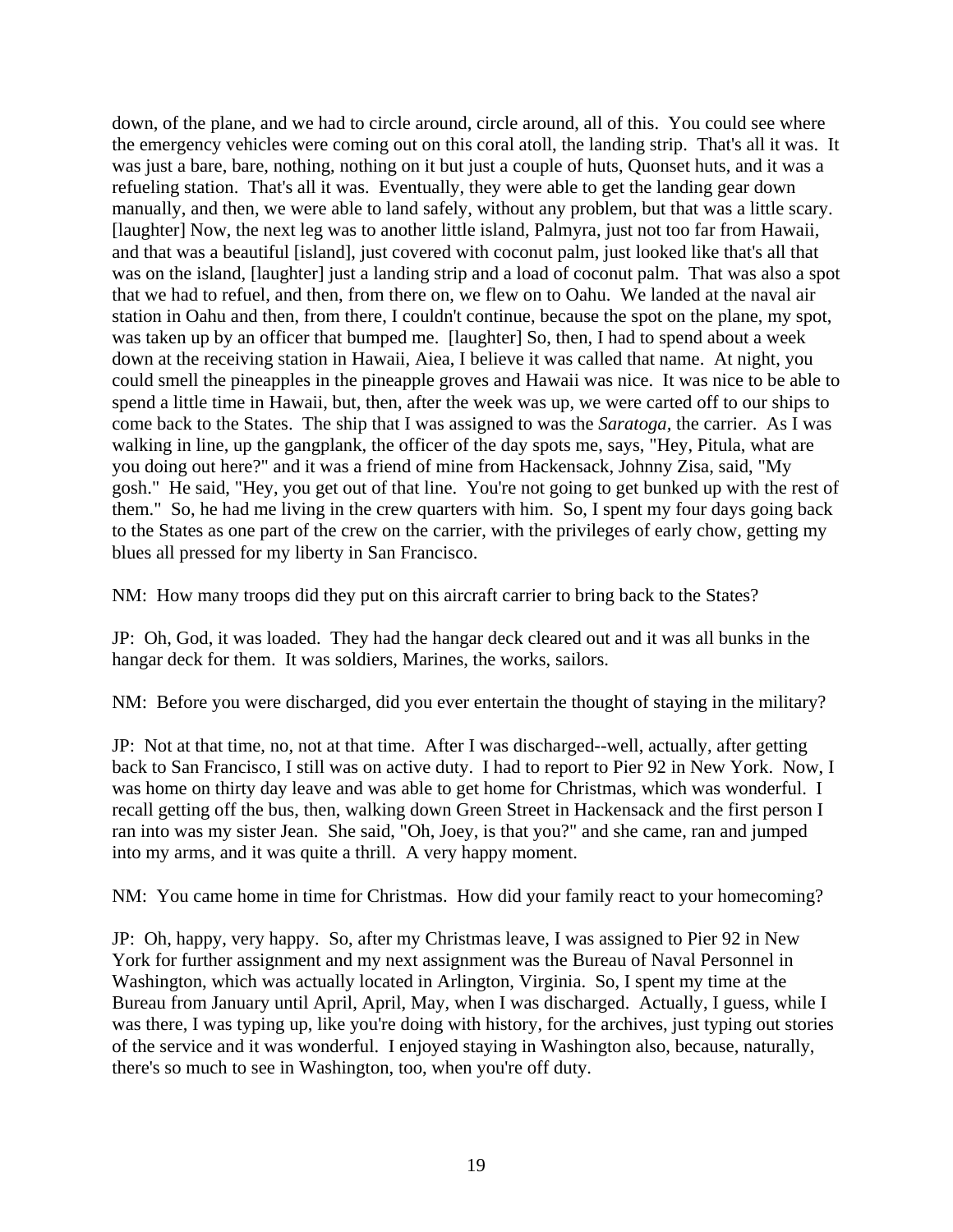down, of the plane, and we had to circle around, circle around, all of this. You could see where the emergency vehicles were coming out on this coral atoll, the landing strip. That's all it was. It was just a bare, bare, nothing, nothing on it but just a couple of huts, Quonset huts, and it was a refueling station. That's all it was. Eventually, they were able to get the landing gear down manually, and then, we were able to land safely, without any problem, but that was a little scary. [laughter] Now, the next leg was to another little island, Palmyra, just not too far from Hawaii, and that was a beautiful [island], just covered with coconut palm, just looked like that's all that was on the island, [laughter] just a landing strip and a load of coconut palm. That was also a spot that we had to refuel, and then, from there on, we flew on to Oahu. We landed at the naval air station in Oahu and then, from there, I couldn't continue, because the spot on the plane, my spot, was taken up by an officer that bumped me. [laughter] So, then, I had to spend about a week down at the receiving station in Hawaii, Aiea, I believe it was called that name. At night, you could smell the pineapples in the pineapple groves and Hawaii was nice. It was nice to be able to spend a little time in Hawaii, but, then, after the week was up, we were carted off to our ships to come back to the States. The ship that I was assigned to was the *Saratoga,* the carrier. As I was walking in line, up the gangplank, the officer of the day spots me, says, "Hey, Pitula, what are you doing out here?" and it was a friend of mine from Hackensack, Johnny Zisa, said, "My gosh." He said, "Hey, you get out of that line. You're not going to get bunked up with the rest of them." So, he had me living in the crew quarters with him. So, I spent my four days going back to the States as one part of the crew on the carrier, with the privileges of early chow, getting my blues all pressed for my liberty in San Francisco.

NM: How many troops did they put on this aircraft carrier to bring back to the States?

JP: Oh, God, it was loaded. They had the hangar deck cleared out and it was all bunks in the hangar deck for them. It was soldiers, Marines, the works, sailors.

NM: Before you were discharged, did you ever entertain the thought of staying in the military?

JP: Not at that time, no, not at that time. After I was discharged--well, actually, after getting back to San Francisco, I still was on active duty. I had to report to Pier 92 in New York. Now, I was home on thirty day leave and was able to get home for Christmas, which was wonderful. I recall getting off the bus, then, walking down Green Street in Hackensack and the first person I ran into was my sister Jean. She said, "Oh, Joey, is that you?" and she came, ran and jumped into my arms, and it was quite a thrill. A very happy moment.

NM: You came home in time for Christmas. How did your family react to your homecoming?

JP: Oh, happy, very happy. So, after my Christmas leave, I was assigned to Pier 92 in New York for further assignment and my next assignment was the Bureau of Naval Personnel in Washington, which was actually located in Arlington, Virginia. So, I spent my time at the Bureau from January until April, April, May, when I was discharged. Actually, I guess, while I was there, I was typing up, like you're doing with history, for the archives, just typing out stories of the service and it was wonderful. I enjoyed staying in Washington also, because, naturally, there's so much to see in Washington, too, when you're off duty.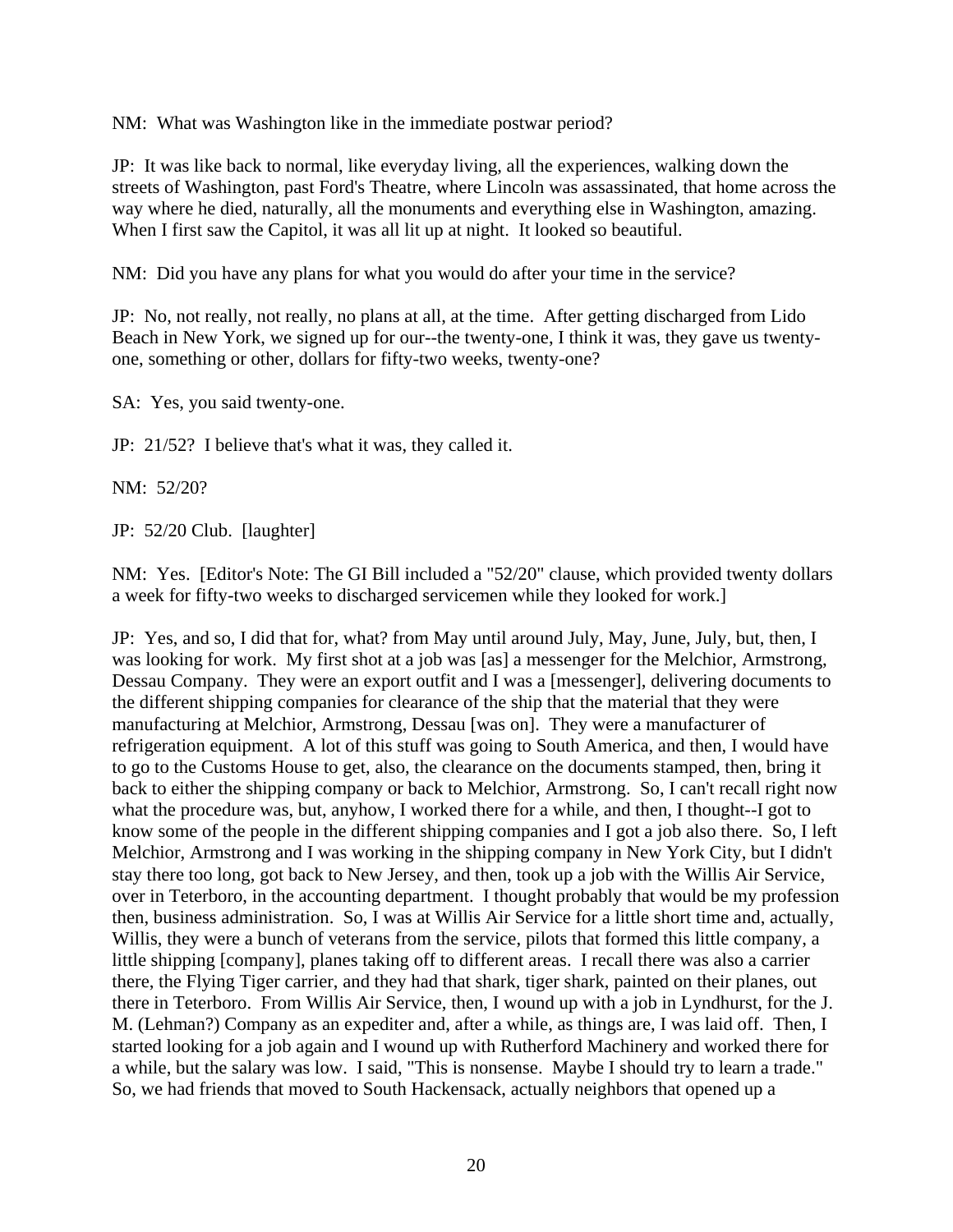NM: What was Washington like in the immediate postwar period?

JP: It was like back to normal, like everyday living, all the experiences, walking down the streets of Washington, past Ford's Theatre, where Lincoln was assassinated, that home across the way where he died, naturally, all the monuments and everything else in Washington, amazing. When I first saw the Capitol, it was all lit up at night. It looked so beautiful.

NM: Did you have any plans for what you would do after your time in the service?

JP: No, not really, not really, no plans at all, at the time. After getting discharged from Lido Beach in New York, we signed up for our--the twenty-one, I think it was, they gave us twentyone, something or other, dollars for fifty-two weeks, twenty-one?

SA: Yes, you said twenty-one.

JP: 21/52? I believe that's what it was, they called it.

NM: 52/20?

JP: 52/20 Club. [laughter]

NM: Yes. [Editor's Note: The GI Bill included a "52/20" clause, which provided twenty dollars a week for fifty-two weeks to discharged servicemen while they looked for work.]

JP: Yes, and so, I did that for, what? from May until around July, May, June, July, but, then, I was looking for work. My first shot at a job was [as] a messenger for the Melchior, Armstrong, Dessau Company. They were an export outfit and I was a [messenger], delivering documents to the different shipping companies for clearance of the ship that the material that they were manufacturing at Melchior, Armstrong, Dessau [was on]. They were a manufacturer of refrigeration equipment. A lot of this stuff was going to South America, and then, I would have to go to the Customs House to get, also, the clearance on the documents stamped, then, bring it back to either the shipping company or back to Melchior, Armstrong. So, I can't recall right now what the procedure was, but, anyhow, I worked there for a while, and then, I thought--I got to know some of the people in the different shipping companies and I got a job also there. So, I left Melchior, Armstrong and I was working in the shipping company in New York City, but I didn't stay there too long, got back to New Jersey, and then, took up a job with the Willis Air Service, over in Teterboro, in the accounting department. I thought probably that would be my profession then, business administration. So, I was at Willis Air Service for a little short time and, actually, Willis, they were a bunch of veterans from the service, pilots that formed this little company, a little shipping [company], planes taking off to different areas. I recall there was also a carrier there, the Flying Tiger carrier, and they had that shark, tiger shark, painted on their planes, out there in Teterboro. From Willis Air Service, then, I wound up with a job in Lyndhurst, for the J. M. (Lehman?) Company as an expediter and, after a while, as things are, I was laid off. Then, I started looking for a job again and I wound up with Rutherford Machinery and worked there for a while, but the salary was low. I said, "This is nonsense. Maybe I should try to learn a trade." So, we had friends that moved to South Hackensack, actually neighbors that opened up a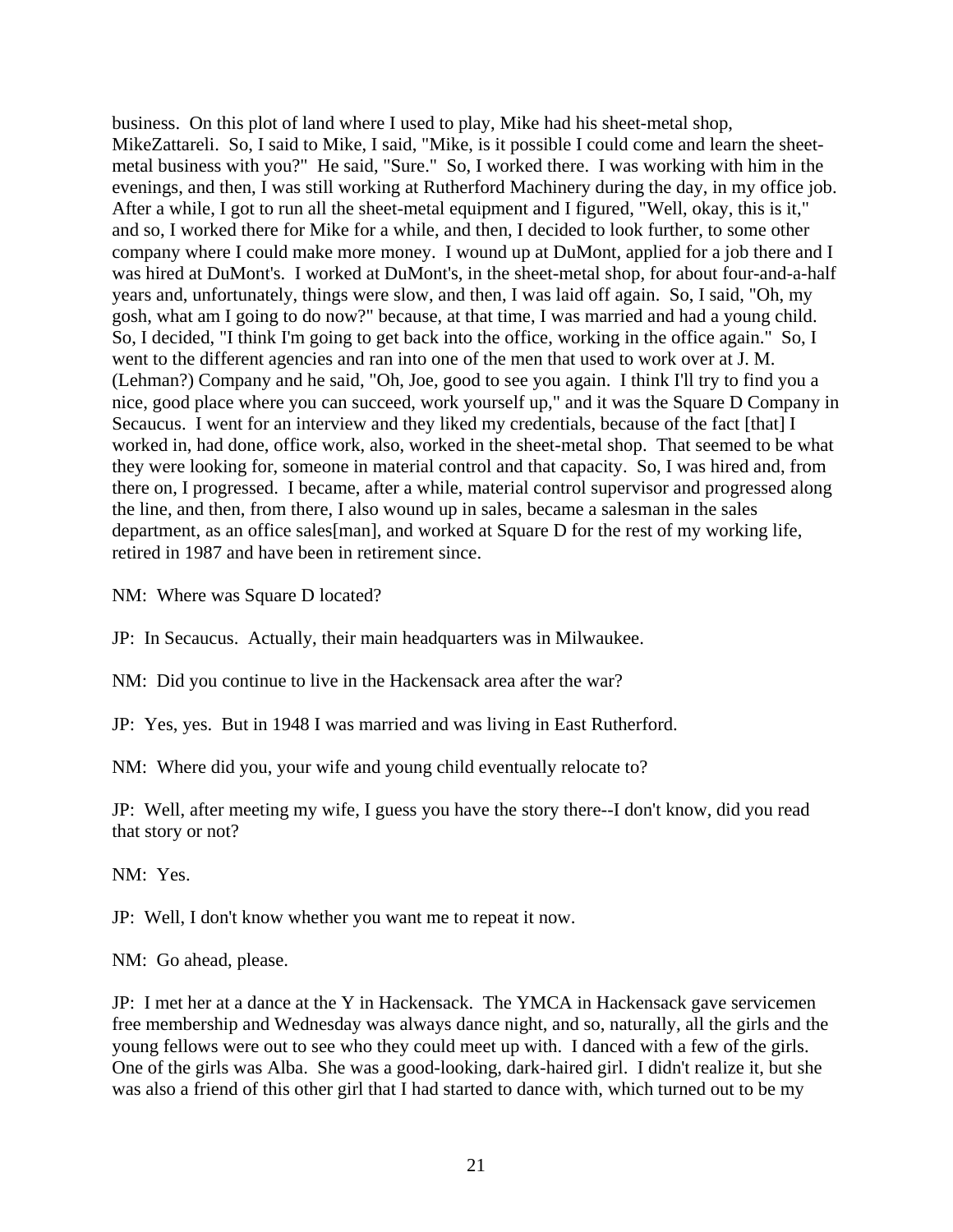business. On this plot of land where I used to play, Mike had his sheet-metal shop, MikeZattareli. So, I said to Mike, I said, "Mike, is it possible I could come and learn the sheetmetal business with you?" He said, "Sure." So, I worked there. I was working with him in the evenings, and then, I was still working at Rutherford Machinery during the day, in my office job. After a while, I got to run all the sheet-metal equipment and I figured, "Well, okay, this is it," and so, I worked there for Mike for a while, and then, I decided to look further, to some other company where I could make more money. I wound up at DuMont, applied for a job there and I was hired at DuMont's. I worked at DuMont's, in the sheet-metal shop, for about four-and-a-half years and, unfortunately, things were slow, and then, I was laid off again. So, I said, "Oh, my gosh, what am I going to do now?" because, at that time, I was married and had a young child. So, I decided, "I think I'm going to get back into the office, working in the office again." So, I went to the different agencies and ran into one of the men that used to work over at J. M. (Lehman?) Company and he said, "Oh, Joe, good to see you again. I think I'll try to find you a nice, good place where you can succeed, work yourself up," and it was the Square D Company in Secaucus. I went for an interview and they liked my credentials, because of the fact [that] I worked in, had done, office work, also, worked in the sheet-metal shop. That seemed to be what they were looking for, someone in material control and that capacity. So, I was hired and, from there on, I progressed. I became, after a while, material control supervisor and progressed along the line, and then, from there, I also wound up in sales, became a salesman in the sales department, as an office sales[man], and worked at Square D for the rest of my working life, retired in 1987 and have been in retirement since.

NM: Where was Square D located?

JP: In Secaucus. Actually, their main headquarters was in Milwaukee.

NM: Did you continue to live in the Hackensack area after the war?

JP: Yes, yes. But in 1948 I was married and was living in East Rutherford.

NM: Where did you, your wife and young child eventually relocate to?

JP: Well, after meeting my wife, I guess you have the story there--I don't know, did you read that story or not?

NM: Yes.

JP: Well, I don't know whether you want me to repeat it now.

NM: Go ahead, please.

JP: I met her at a dance at the Y in Hackensack. The YMCA in Hackensack gave servicemen free membership and Wednesday was always dance night, and so, naturally, all the girls and the young fellows were out to see who they could meet up with. I danced with a few of the girls. One of the girls was Alba. She was a good-looking, dark-haired girl. I didn't realize it, but she was also a friend of this other girl that I had started to dance with, which turned out to be my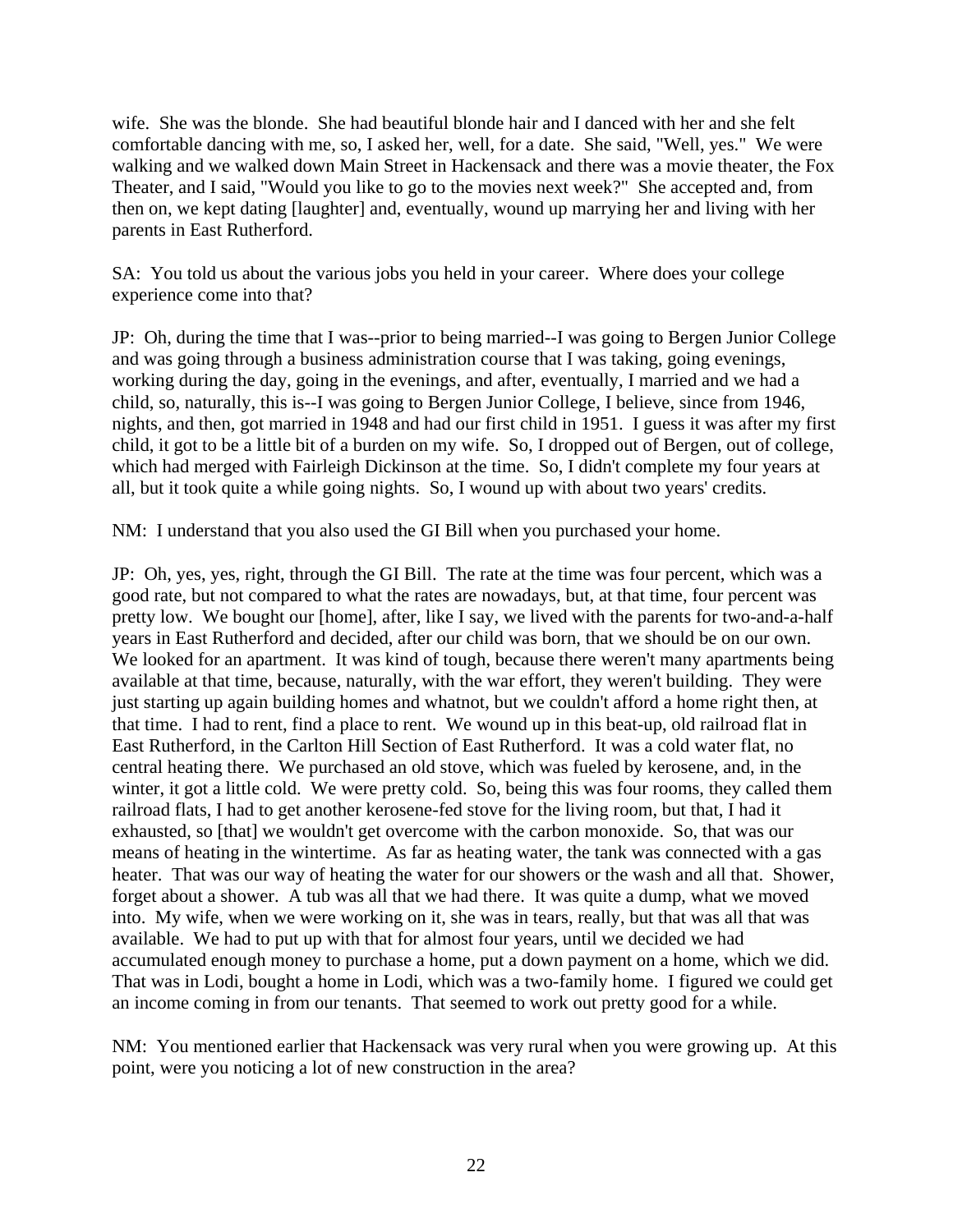wife. She was the blonde. She had beautiful blonde hair and I danced with her and she felt comfortable dancing with me, so, I asked her, well, for a date. She said, "Well, yes." We were walking and we walked down Main Street in Hackensack and there was a movie theater, the Fox Theater, and I said, "Would you like to go to the movies next week?" She accepted and, from then on, we kept dating [laughter] and, eventually, wound up marrying her and living with her parents in East Rutherford.

SA: You told us about the various jobs you held in your career. Where does your college experience come into that?

JP: Oh, during the time that I was--prior to being married--I was going to Bergen Junior College and was going through a business administration course that I was taking, going evenings, working during the day, going in the evenings, and after, eventually, I married and we had a child, so, naturally, this is--I was going to Bergen Junior College, I believe, since from 1946, nights, and then, got married in 1948 and had our first child in 1951. I guess it was after my first child, it got to be a little bit of a burden on my wife. So, I dropped out of Bergen, out of college, which had merged with Fairleigh Dickinson at the time. So, I didn't complete my four years at all, but it took quite a while going nights. So, I wound up with about two years' credits.

NM: I understand that you also used the GI Bill when you purchased your home.

JP: Oh, yes, yes, right, through the GI Bill. The rate at the time was four percent, which was a good rate, but not compared to what the rates are nowadays, but, at that time, four percent was pretty low. We bought our [home], after, like I say, we lived with the parents for two-and-a-half years in East Rutherford and decided, after our child was born, that we should be on our own. We looked for an apartment. It was kind of tough, because there weren't many apartments being available at that time, because, naturally, with the war effort, they weren't building. They were just starting up again building homes and whatnot, but we couldn't afford a home right then, at that time. I had to rent, find a place to rent. We wound up in this beat-up, old railroad flat in East Rutherford, in the Carlton Hill Section of East Rutherford. It was a cold water flat, no central heating there. We purchased an old stove, which was fueled by kerosene, and, in the winter, it got a little cold. We were pretty cold. So, being this was four rooms, they called them railroad flats, I had to get another kerosene-fed stove for the living room, but that, I had it exhausted, so [that] we wouldn't get overcome with the carbon monoxide. So, that was our means of heating in the wintertime. As far as heating water, the tank was connected with a gas heater. That was our way of heating the water for our showers or the wash and all that. Shower, forget about a shower. A tub was all that we had there. It was quite a dump, what we moved into. My wife, when we were working on it, she was in tears, really, but that was all that was available. We had to put up with that for almost four years, until we decided we had accumulated enough money to purchase a home, put a down payment on a home, which we did. That was in Lodi, bought a home in Lodi, which was a two-family home. I figured we could get an income coming in from our tenants. That seemed to work out pretty good for a while.

NM: You mentioned earlier that Hackensack was very rural when you were growing up. At this point, were you noticing a lot of new construction in the area?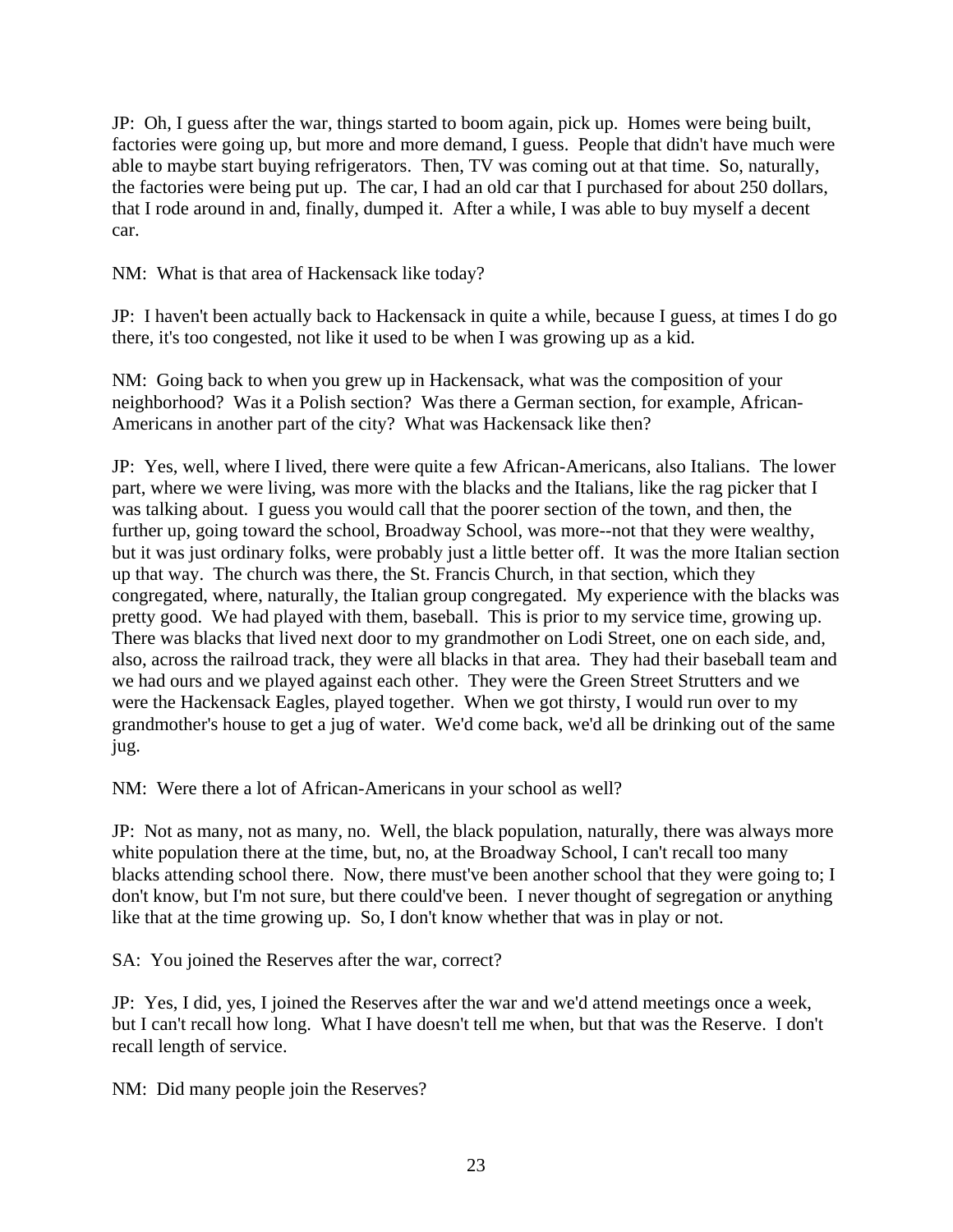JP: Oh, I guess after the war, things started to boom again, pick up. Homes were being built, factories were going up, but more and more demand, I guess. People that didn't have much were able to maybe start buying refrigerators. Then, TV was coming out at that time. So, naturally, the factories were being put up. The car, I had an old car that I purchased for about 250 dollars, that I rode around in and, finally, dumped it. After a while, I was able to buy myself a decent car.

NM: What is that area of Hackensack like today?

JP: I haven't been actually back to Hackensack in quite a while, because I guess, at times I do go there, it's too congested, not like it used to be when I was growing up as a kid.

NM: Going back to when you grew up in Hackensack, what was the composition of your neighborhood? Was it a Polish section? Was there a German section, for example, African-Americans in another part of the city? What was Hackensack like then?

JP: Yes, well, where I lived, there were quite a few African-Americans, also Italians. The lower part, where we were living, was more with the blacks and the Italians, like the rag picker that I was talking about. I guess you would call that the poorer section of the town, and then, the further up, going toward the school, Broadway School, was more--not that they were wealthy, but it was just ordinary folks, were probably just a little better off. It was the more Italian section up that way. The church was there, the St. Francis Church, in that section, which they congregated, where, naturally, the Italian group congregated. My experience with the blacks was pretty good. We had played with them, baseball. This is prior to my service time, growing up. There was blacks that lived next door to my grandmother on Lodi Street, one on each side, and, also, across the railroad track, they were all blacks in that area. They had their baseball team and we had ours and we played against each other. They were the Green Street Strutters and we were the Hackensack Eagles, played together. When we got thirsty, I would run over to my grandmother's house to get a jug of water. We'd come back, we'd all be drinking out of the same jug.

NM: Were there a lot of African-Americans in your school as well?

JP: Not as many, not as many, no. Well, the black population, naturally, there was always more white population there at the time, but, no, at the Broadway School, I can't recall too many blacks attending school there. Now, there must've been another school that they were going to; I don't know, but I'm not sure, but there could've been. I never thought of segregation or anything like that at the time growing up. So, I don't know whether that was in play or not.

SA: You joined the Reserves after the war, correct?

JP: Yes, I did, yes, I joined the Reserves after the war and we'd attend meetings once a week, but I can't recall how long. What I have doesn't tell me when, but that was the Reserve. I don't recall length of service.

NM: Did many people join the Reserves?